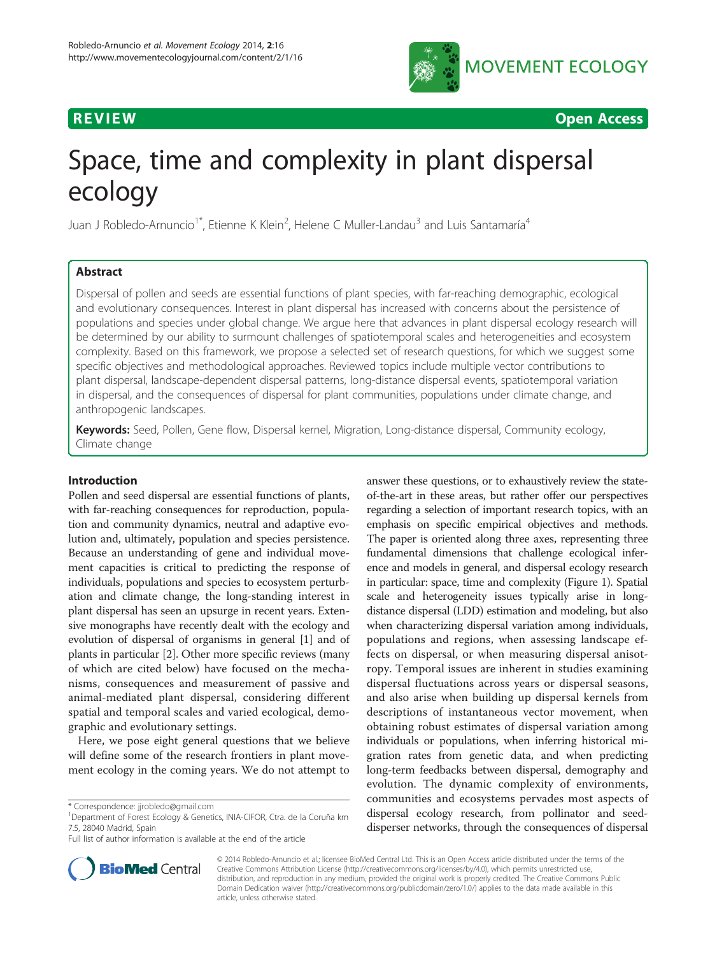

**REVIEW CONSTRUCTION CONSTRUCTION CONSTRUCTION CONSTRUCTS** 

# Space, time and complexity in plant dispersal ecology

Juan J Robledo-Arnuncio<sup>1\*</sup>, Etienne K Klein<sup>2</sup>, Helene C Muller-Landau<sup>3</sup> and Luis Santamaría<sup>4</sup>

# Abstract

Dispersal of pollen and seeds are essential functions of plant species, with far-reaching demographic, ecological and evolutionary consequences. Interest in plant dispersal has increased with concerns about the persistence of populations and species under global change. We argue here that advances in plant dispersal ecology research will be determined by our ability to surmount challenges of spatiotemporal scales and heterogeneities and ecosystem complexity. Based on this framework, we propose a selected set of research questions, for which we suggest some specific objectives and methodological approaches. Reviewed topics include multiple vector contributions to plant dispersal, landscape-dependent dispersal patterns, long-distance dispersal events, spatiotemporal variation in dispersal, and the consequences of dispersal for plant communities, populations under climate change, and anthropogenic landscapes.

Keywords: Seed, Pollen, Gene flow, Dispersal kernel, Migration, Long-distance dispersal, Community ecology, Climate change

#### Introduction

Pollen and seed dispersal are essential functions of plants, with far-reaching consequences for reproduction, population and community dynamics, neutral and adaptive evolution and, ultimately, population and species persistence. Because an understanding of gene and individual movement capacities is critical to predicting the response of individuals, populations and species to ecosystem perturbation and climate change, the long-standing interest in plant dispersal has seen an upsurge in recent years. Extensive monographs have recently dealt with the ecology and evolution of dispersal of organisms in general [\[1](#page-11-0)] and of plants in particular [\[2](#page-11-0)]. Other more specific reviews (many of which are cited below) have focused on the mechanisms, consequences and measurement of passive and animal-mediated plant dispersal, considering different spatial and temporal scales and varied ecological, demographic and evolutionary settings.

Here, we pose eight general questions that we believe will define some of the research frontiers in plant movement ecology in the coming years. We do not attempt to





© 2014 Robledo-Arnuncio et al.; licensee BioMed Central Ltd. This is an Open Access article distributed under the terms of the Creative Commons Attribution License (<http://creativecommons.org/licenses/by/4.0>), which permits unrestricted use, distribution, and reproduction in any medium, provided the original work is properly credited. The Creative Commons Public Domain Dedication waiver [\(http://creativecommons.org/publicdomain/zero/1.0/\)](http://creativecommons.org/publicdomain/zero/1.0/) applies to the data made available in this article, unless otherwise stated.

<sup>\*</sup> Correspondence: [jjrobledo@gmail.com](mailto:jjrobledo@gmail.com) <sup>1</sup>

<sup>&</sup>lt;sup>1</sup>Department of Forest Ecology & Genetics, INIA-CIFOR, Ctra. de la Coruña km 7.5, 28040 Madrid, Spain

Full list of author information is available at the end of the article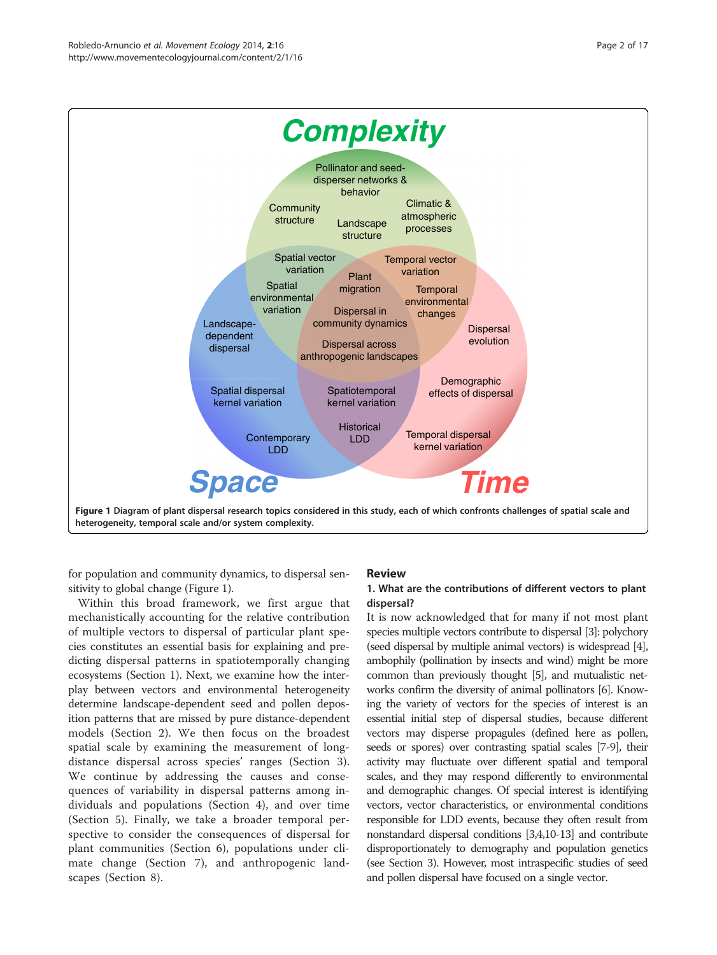<span id="page-1-0"></span>

for population and community dynamics, to dispersal sensitivity to global change (Figure 1).

Within this broad framework, we first argue that mechanistically accounting for the relative contribution of multiple vectors to dispersal of particular plant species constitutes an essential basis for explaining and predicting dispersal patterns in spatiotemporally changing ecosystems (Section 1). Next, we examine how the interplay between vectors and environmental heterogeneity determine landscape-dependent seed and pollen deposition patterns that are missed by pure distance-dependent models [\(Section 2\)](#page-2-0). We then focus on the broadest spatial scale by examining the measurement of longdistance dispersal across species' ranges [\(Section 3](#page-3-0)). We continue by addressing the causes and consequences of variability in dispersal patterns among individuals and populations ([Section 4\)](#page-5-0), and over time ([Section 5\)](#page-6-0). Finally, we take a broader temporal perspective to consider the consequences of dispersal for plant communities [\(Section 6\)](#page-7-0), populations under climate change ([Section 7\)](#page-8-0), and anthropogenic landscapes [\(Section 8](#page-9-0)).

#### Review

#### 1. What are the contributions of different vectors to plant dispersal?

It is now acknowledged that for many if not most plant species multiple vectors contribute to dispersal [\[3](#page-11-0)]: polychory (seed dispersal by multiple animal vectors) is widespread [\[4\]](#page-11-0), ambophily (pollination by insects and wind) might be more common than previously thought [\[5\]](#page-11-0), and mutualistic networks confirm the diversity of animal pollinators [\[6](#page-11-0)]. Knowing the variety of vectors for the species of interest is an essential initial step of dispersal studies, because different vectors may disperse propagules (defined here as pollen, seeds or spores) over contrasting spatial scales [\[7-9](#page-11-0)], their activity may fluctuate over different spatial and temporal scales, and they may respond differently to environmental and demographic changes. Of special interest is identifying vectors, vector characteristics, or environmental conditions responsible for LDD events, because they often result from nonstandard dispersal conditions [[3,4,10-13](#page-11-0)] and contribute disproportionately to demography and population genetics (see [Section 3\)](#page-3-0). However, most intraspecific studies of seed and pollen dispersal have focused on a single vector.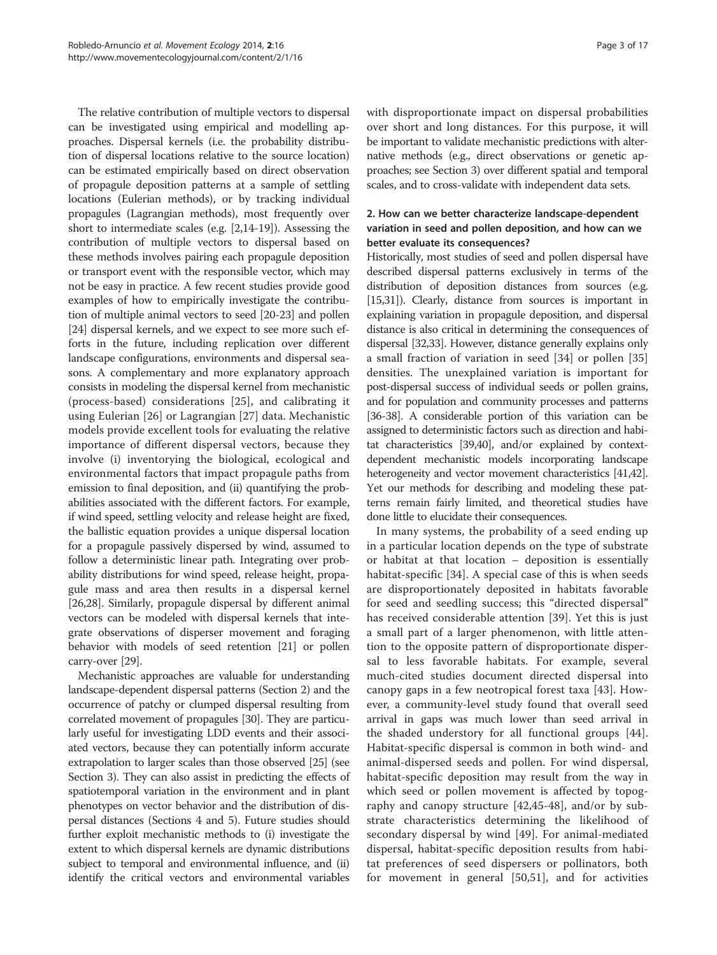<span id="page-2-0"></span>The relative contribution of multiple vectors to dispersal can be investigated using empirical and modelling approaches. Dispersal kernels (i.e. the probability distribution of dispersal locations relative to the source location) can be estimated empirically based on direct observation of propagule deposition patterns at a sample of settling locations (Eulerian methods), or by tracking individual propagules (Lagrangian methods), most frequently over short to intermediate scales (e.g. [[2,14](#page-11-0)-[19](#page-11-0)]). Assessing the contribution of multiple vectors to dispersal based on these methods involves pairing each propagule deposition or transport event with the responsible vector, which may not be easy in practice. A few recent studies provide good examples of how to empirically investigate the contribution of multiple animal vectors to seed [\[20-23\]](#page-11-0) and pollen [[24](#page-11-0)] dispersal kernels, and we expect to see more such efforts in the future, including replication over different landscape configurations, environments and dispersal seasons. A complementary and more explanatory approach consists in modeling the dispersal kernel from mechanistic (process-based) considerations [[25](#page-11-0)], and calibrating it using Eulerian [[26](#page-11-0)] or Lagrangian [[27\]](#page-11-0) data. Mechanistic models provide excellent tools for evaluating the relative importance of different dispersal vectors, because they involve (i) inventorying the biological, ecological and environmental factors that impact propagule paths from emission to final deposition, and (ii) quantifying the probabilities associated with the different factors. For example, if wind speed, settling velocity and release height are fixed, the ballistic equation provides a unique dispersal location for a propagule passively dispersed by wind, assumed to follow a deterministic linear path. Integrating over probability distributions for wind speed, release height, propagule mass and area then results in a dispersal kernel [[26,28](#page-11-0)]. Similarly, propagule dispersal by different animal vectors can be modeled with dispersal kernels that integrate observations of disperser movement and foraging behavior with models of seed retention [[21](#page-11-0)] or pollen carry-over [\[29\]](#page-11-0).

Mechanistic approaches are valuable for understanding landscape-dependent dispersal patterns (Section 2) and the occurrence of patchy or clumped dispersal resulting from correlated movement of propagules [[30](#page-11-0)]. They are particularly useful for investigating LDD events and their associated vectors, because they can potentially inform accurate extrapolation to larger scales than those observed [[25](#page-11-0)] (see [Section 3\)](#page-3-0). They can also assist in predicting the effects of spatiotemporal variation in the environment and in plant phenotypes on vector behavior and the distribution of dispersal distances [\(Sections 4](#page-5-0) and [5](#page-6-0)). Future studies should further exploit mechanistic methods to (i) investigate the extent to which dispersal kernels are dynamic distributions subject to temporal and environmental influence, and (ii) identify the critical vectors and environmental variables with disproportionate impact on dispersal probabilities over short and long distances. For this purpose, it will be important to validate mechanistic predictions with alternative methods (e.g., direct observations or genetic approaches; see [Section 3](#page-3-0)) over different spatial and temporal scales, and to cross-validate with independent data sets.

# 2. How can we better characterize landscape-dependent variation in seed and pollen deposition, and how can we better evaluate its consequences?

Historically, most studies of seed and pollen dispersal have described dispersal patterns exclusively in terms of the distribution of deposition distances from sources (e.g. [[15,31\]](#page-11-0)). Clearly, distance from sources is important in explaining variation in propagule deposition, and dispersal distance is also critical in determining the consequences of dispersal [\[32,33\]](#page-11-0). However, distance generally explains only a small fraction of variation in seed [\[34](#page-11-0)] or pollen [\[35](#page-11-0)] densities. The unexplained variation is important for post-dispersal success of individual seeds or pollen grains, and for population and community processes and patterns [[36](#page-11-0)-[38\]](#page-11-0). A considerable portion of this variation can be assigned to deterministic factors such as direction and habitat characteristics [[39,40](#page-11-0)], and/or explained by contextdependent mechanistic models incorporating landscape heterogeneity and vector movement characteristics [[41,42](#page-11-0)]. Yet our methods for describing and modeling these patterns remain fairly limited, and theoretical studies have done little to elucidate their consequences.

In many systems, the probability of a seed ending up in a particular location depends on the type of substrate or habitat at that location – deposition is essentially habitat-specific [[34\]](#page-11-0). A special case of this is when seeds are disproportionately deposited in habitats favorable for seed and seedling success; this "directed dispersal" has received considerable attention [\[39](#page-11-0)]. Yet this is just a small part of a larger phenomenon, with little attention to the opposite pattern of disproportionate dispersal to less favorable habitats. For example, several much-cited studies document directed dispersal into canopy gaps in a few neotropical forest taxa [\[43](#page-11-0)]. However, a community-level study found that overall seed arrival in gaps was much lower than seed arrival in the shaded understory for all functional groups [\[44](#page-11-0)]. Habitat-specific dispersal is common in both wind- and animal-dispersed seeds and pollen. For wind dispersal, habitat-specific deposition may result from the way in which seed or pollen movement is affected by topography and canopy structure [[42,](#page-11-0)[45-48\]](#page-12-0), and/or by substrate characteristics determining the likelihood of secondary dispersal by wind [\[49](#page-12-0)]. For animal-mediated dispersal, habitat-specific deposition results from habitat preferences of seed dispersers or pollinators, both for movement in general [[50,51](#page-12-0)], and for activities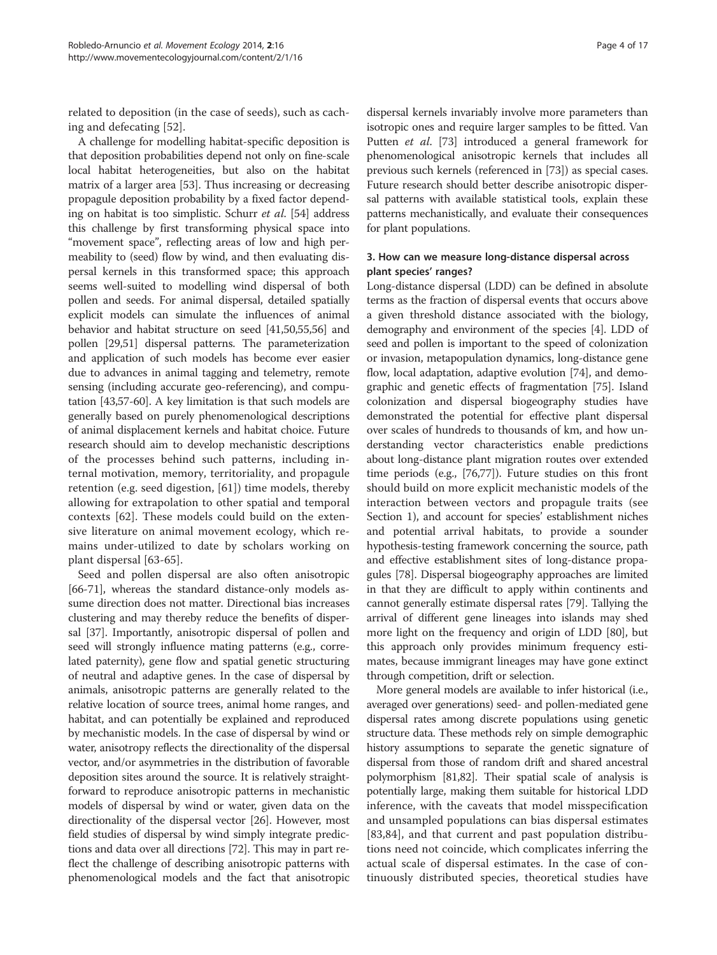<span id="page-3-0"></span>related to deposition (in the case of seeds), such as caching and defecating [[52\]](#page-12-0).

A challenge for modelling habitat-specific deposition is that deposition probabilities depend not only on fine-scale local habitat heterogeneities, but also on the habitat matrix of a larger area [\[53\]](#page-12-0). Thus increasing or decreasing propagule deposition probability by a fixed factor depending on habitat is too simplistic. Schurr et al. [\[54](#page-12-0)] address this challenge by first transforming physical space into "movement space", reflecting areas of low and high permeability to (seed) flow by wind, and then evaluating dispersal kernels in this transformed space; this approach seems well-suited to modelling wind dispersal of both pollen and seeds. For animal dispersal, detailed spatially explicit models can simulate the influences of animal behavior and habitat structure on seed [\[41,](#page-11-0)[50,55,56\]](#page-12-0) and pollen [\[29,](#page-11-0)[51\]](#page-12-0) dispersal patterns. The parameterization and application of such models has become ever easier due to advances in animal tagging and telemetry, remote sensing (including accurate geo-referencing), and computation [\[43,](#page-11-0)[57-60\]](#page-12-0). A key limitation is that such models are generally based on purely phenomenological descriptions of animal displacement kernels and habitat choice. Future research should aim to develop mechanistic descriptions of the processes behind such patterns, including internal motivation, memory, territoriality, and propagule retention (e.g. seed digestion, [[61](#page-12-0)]) time models, thereby allowing for extrapolation to other spatial and temporal contexts [[62\]](#page-12-0). These models could build on the extensive literature on animal movement ecology, which remains under-utilized to date by scholars working on plant dispersal [[63-65](#page-12-0)].

Seed and pollen dispersal are also often anisotropic [[66](#page-12-0)-[71\]](#page-12-0), whereas the standard distance-only models assume direction does not matter. Directional bias increases clustering and may thereby reduce the benefits of dispersal [\[37](#page-11-0)]. Importantly, anisotropic dispersal of pollen and seed will strongly influence mating patterns (e.g., correlated paternity), gene flow and spatial genetic structuring of neutral and adaptive genes. In the case of dispersal by animals, anisotropic patterns are generally related to the relative location of source trees, animal home ranges, and habitat, and can potentially be explained and reproduced by mechanistic models. In the case of dispersal by wind or water, anisotropy reflects the directionality of the dispersal vector, and/or asymmetries in the distribution of favorable deposition sites around the source. It is relatively straightforward to reproduce anisotropic patterns in mechanistic models of dispersal by wind or water, given data on the directionality of the dispersal vector [\[26\]](#page-11-0). However, most field studies of dispersal by wind simply integrate predictions and data over all directions [[72](#page-12-0)]. This may in part reflect the challenge of describing anisotropic patterns with phenomenological models and the fact that anisotropic

dispersal kernels invariably involve more parameters than isotropic ones and require larger samples to be fitted. Van Putten et al. [\[73](#page-12-0)] introduced a general framework for phenomenological anisotropic kernels that includes all previous such kernels (referenced in [\[73](#page-12-0)]) as special cases. Future research should better describe anisotropic dispersal patterns with available statistical tools, explain these patterns mechanistically, and evaluate their consequences for plant populations.

# 3. How can we measure long-distance dispersal across plant species' ranges?

Long-distance dispersal (LDD) can be defined in absolute terms as the fraction of dispersal events that occurs above a given threshold distance associated with the biology, demography and environment of the species [[4\]](#page-11-0). LDD of seed and pollen is important to the speed of colonization or invasion, metapopulation dynamics, long-distance gene flow, local adaptation, adaptive evolution [\[74](#page-12-0)], and demographic and genetic effects of fragmentation [\[75](#page-12-0)]. Island colonization and dispersal biogeography studies have demonstrated the potential for effective plant dispersal over scales of hundreds to thousands of km, and how understanding vector characteristics enable predictions about long-distance plant migration routes over extended time periods (e.g., [\[76,77](#page-12-0)]). Future studies on this front should build on more explicit mechanistic models of the interaction between vectors and propagule traits (see [Section 1\)](#page-1-0), and account for species' establishment niches and potential arrival habitats, to provide a sounder hypothesis-testing framework concerning the source, path and effective establishment sites of long-distance propagules [\[78](#page-12-0)]. Dispersal biogeography approaches are limited in that they are difficult to apply within continents and cannot generally estimate dispersal rates [\[79](#page-12-0)]. Tallying the arrival of different gene lineages into islands may shed more light on the frequency and origin of LDD [[80](#page-12-0)], but this approach only provides minimum frequency estimates, because immigrant lineages may have gone extinct through competition, drift or selection.

More general models are available to infer historical (i.e., averaged over generations) seed- and pollen-mediated gene dispersal rates among discrete populations using genetic structure data. These methods rely on simple demographic history assumptions to separate the genetic signature of dispersal from those of random drift and shared ancestral polymorphism [[81,82\]](#page-12-0). Their spatial scale of analysis is potentially large, making them suitable for historical LDD inference, with the caveats that model misspecification and unsampled populations can bias dispersal estimates [[83,84](#page-12-0)], and that current and past population distributions need not coincide, which complicates inferring the actual scale of dispersal estimates. In the case of continuously distributed species, theoretical studies have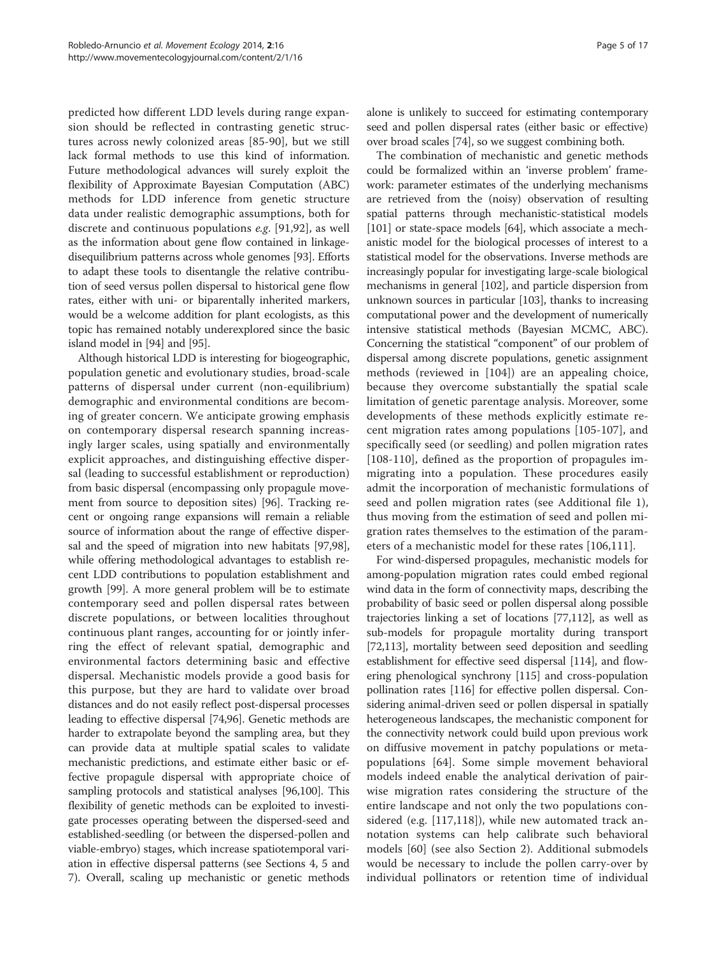predicted how different LDD levels during range expansion should be reflected in contrasting genetic structures across newly colonized areas [[85-90\]](#page-12-0), but we still lack formal methods to use this kind of information. Future methodological advances will surely exploit the flexibility of Approximate Bayesian Computation (ABC) methods for LDD inference from genetic structure data under realistic demographic assumptions, both for discrete and continuous populations e.g. [\[91](#page-12-0),[92\]](#page-12-0), as well as the information about gene flow contained in linkagedisequilibrium patterns across whole genomes [[93](#page-12-0)]. Efforts to adapt these tools to disentangle the relative contribution of seed versus pollen dispersal to historical gene flow rates, either with uni- or biparentally inherited markers, would be a welcome addition for plant ecologists, as this topic has remained notably underexplored since the basic island model in [[94\]](#page-12-0) and [[95](#page-12-0)].

Although historical LDD is interesting for biogeographic, population genetic and evolutionary studies, broad-scale patterns of dispersal under current (non-equilibrium) demographic and environmental conditions are becoming of greater concern. We anticipate growing emphasis on contemporary dispersal research spanning increasingly larger scales, using spatially and environmentally explicit approaches, and distinguishing effective dispersal (leading to successful establishment or reproduction) from basic dispersal (encompassing only propagule movement from source to deposition sites) [\[96](#page-12-0)]. Tracking recent or ongoing range expansions will remain a reliable source of information about the range of effective dispersal and the speed of migration into new habitats [\[97,98](#page-13-0)], while offering methodological advantages to establish recent LDD contributions to population establishment and growth [[99](#page-13-0)]. A more general problem will be to estimate contemporary seed and pollen dispersal rates between discrete populations, or between localities throughout continuous plant ranges, accounting for or jointly inferring the effect of relevant spatial, demographic and environmental factors determining basic and effective dispersal. Mechanistic models provide a good basis for this purpose, but they are hard to validate over broad distances and do not easily reflect post-dispersal processes leading to effective dispersal [[74,96](#page-12-0)]. Genetic methods are harder to extrapolate beyond the sampling area, but they can provide data at multiple spatial scales to validate mechanistic predictions, and estimate either basic or effective propagule dispersal with appropriate choice of sampling protocols and statistical analyses [\[96](#page-12-0)[,100\]](#page-13-0). This flexibility of genetic methods can be exploited to investigate processes operating between the dispersed-seed and established-seedling (or between the dispersed-pollen and viable-embryo) stages, which increase spatiotemporal variation in effective dispersal patterns (see [Sections 4](#page-5-0), [5](#page-6-0) and [7\)](#page-8-0). Overall, scaling up mechanistic or genetic methods

alone is unlikely to succeed for estimating contemporary seed and pollen dispersal rates (either basic or effective) over broad scales [[74\]](#page-12-0), so we suggest combining both.

The combination of mechanistic and genetic methods could be formalized within an 'inverse problem' framework: parameter estimates of the underlying mechanisms are retrieved from the (noisy) observation of resulting spatial patterns through mechanistic-statistical models [[101](#page-13-0)] or state-space models [\[64\]](#page-12-0), which associate a mechanistic model for the biological processes of interest to a statistical model for the observations. Inverse methods are increasingly popular for investigating large-scale biological mechanisms in general [[102](#page-13-0)], and particle dispersion from unknown sources in particular [\[103\]](#page-13-0), thanks to increasing computational power and the development of numerically intensive statistical methods (Bayesian MCMC, ABC). Concerning the statistical "component" of our problem of dispersal among discrete populations, genetic assignment methods (reviewed in [\[104\]](#page-13-0)) are an appealing choice, because they overcome substantially the spatial scale limitation of genetic parentage analysis. Moreover, some developments of these methods explicitly estimate recent migration rates among populations [[105-107](#page-13-0)], and specifically seed (or seedling) and pollen migration rates [[108-110\]](#page-13-0), defined as the proportion of propagules immigrating into a population. These procedures easily admit the incorporation of mechanistic formulations of seed and pollen migration rates (see Additional file [1](#page-10-0)), thus moving from the estimation of seed and pollen migration rates themselves to the estimation of the parameters of a mechanistic model for these rates [[106,111\]](#page-13-0).

For wind-dispersed propagules, mechanistic models for among-population migration rates could embed regional wind data in the form of connectivity maps, describing the probability of basic seed or pollen dispersal along possible trajectories linking a set of locations [[77](#page-12-0),[112](#page-13-0)], as well as sub-models for propagule mortality during transport [[72](#page-12-0),[113](#page-13-0)], mortality between seed deposition and seedling establishment for effective seed dispersal [[114](#page-13-0)], and flowering phenological synchrony [\[115\]](#page-13-0) and cross-population pollination rates [\[116](#page-13-0)] for effective pollen dispersal. Considering animal-driven seed or pollen dispersal in spatially heterogeneous landscapes, the mechanistic component for the connectivity network could build upon previous work on diffusive movement in patchy populations or metapopulations [[64\]](#page-12-0). Some simple movement behavioral models indeed enable the analytical derivation of pairwise migration rates considering the structure of the entire landscape and not only the two populations considered (e.g. [[117,118](#page-13-0)]), while new automated track annotation systems can help calibrate such behavioral models [\[60](#page-12-0)] (see also [Section 2](#page-2-0)). Additional submodels would be necessary to include the pollen carry-over by individual pollinators or retention time of individual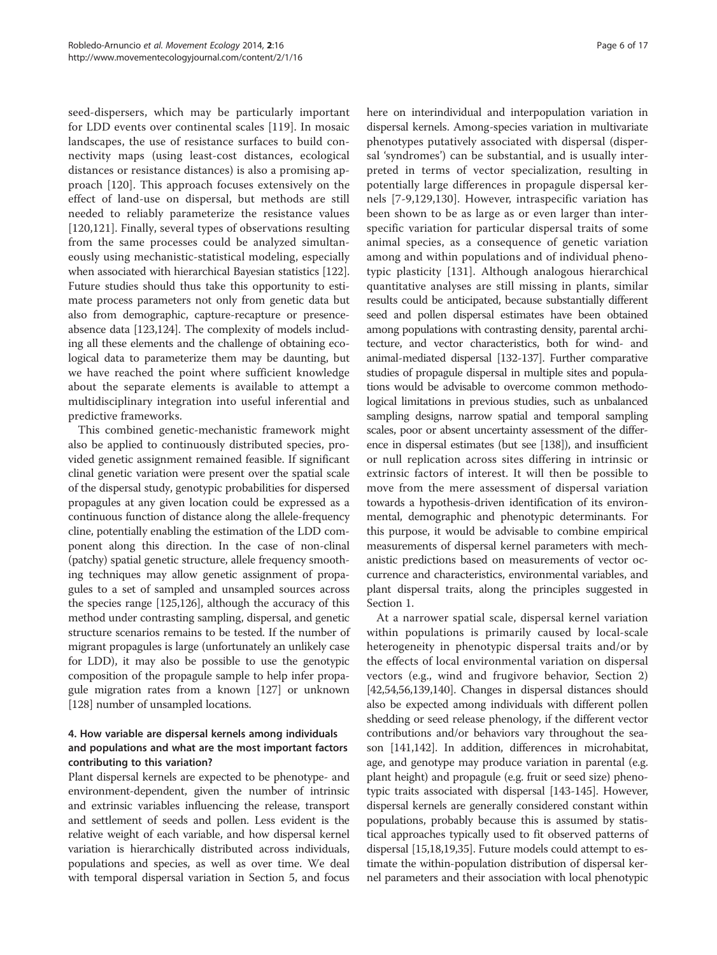<span id="page-5-0"></span>seed-dispersers, which may be particularly important for LDD events over continental scales [[119](#page-13-0)]. In mosaic landscapes, the use of resistance surfaces to build connectivity maps (using least-cost distances, ecological distances or resistance distances) is also a promising approach [\[120](#page-13-0)]. This approach focuses extensively on the effect of land-use on dispersal, but methods are still needed to reliably parameterize the resistance values [[120,121](#page-13-0)]. Finally, several types of observations resulting from the same processes could be analyzed simultaneously using mechanistic-statistical modeling, especially when associated with hierarchical Bayesian statistics [[122](#page-13-0)]. Future studies should thus take this opportunity to estimate process parameters not only from genetic data but also from demographic, capture-recapture or presenceabsence data [\[123,124](#page-13-0)]. The complexity of models including all these elements and the challenge of obtaining ecological data to parameterize them may be daunting, but we have reached the point where sufficient knowledge about the separate elements is available to attempt a multidisciplinary integration into useful inferential and predictive frameworks.

This combined genetic-mechanistic framework might also be applied to continuously distributed species, provided genetic assignment remained feasible. If significant clinal genetic variation were present over the spatial scale of the dispersal study, genotypic probabilities for dispersed propagules at any given location could be expressed as a continuous function of distance along the allele-frequency cline, potentially enabling the estimation of the LDD component along this direction. In the case of non-clinal (patchy) spatial genetic structure, allele frequency smoothing techniques may allow genetic assignment of propagules to a set of sampled and unsampled sources across the species range [[125,126\]](#page-13-0), although the accuracy of this method under contrasting sampling, dispersal, and genetic structure scenarios remains to be tested. If the number of migrant propagules is large (unfortunately an unlikely case for LDD), it may also be possible to use the genotypic composition of the propagule sample to help infer propagule migration rates from a known [\[127\]](#page-13-0) or unknown [[128](#page-13-0)] number of unsampled locations.

# 4. How variable are dispersal kernels among individuals and populations and what are the most important factors contributing to this variation?

Plant dispersal kernels are expected to be phenotype- and environment-dependent, given the number of intrinsic and extrinsic variables influencing the release, transport and settlement of seeds and pollen. Less evident is the relative weight of each variable, and how dispersal kernel variation is hierarchically distributed across individuals, populations and species, as well as over time. We deal with temporal dispersal variation in [Section 5](#page-6-0), and focus here on interindividual and interpopulation variation in dispersal kernels. Among-species variation in multivariate phenotypes putatively associated with dispersal (dispersal 'syndromes') can be substantial, and is usually interpreted in terms of vector specialization, resulting in potentially large differences in propagule dispersal kernels [[7-9](#page-11-0)[,129](#page-13-0),[130\]](#page-13-0). However, intraspecific variation has been shown to be as large as or even larger than interspecific variation for particular dispersal traits of some animal species, as a consequence of genetic variation among and within populations and of individual phenotypic plasticity [[131\]](#page-13-0). Although analogous hierarchical quantitative analyses are still missing in plants, similar results could be anticipated, because substantially different seed and pollen dispersal estimates have been obtained among populations with contrasting density, parental architecture, and vector characteristics, both for wind- and animal-mediated dispersal [\[132-137\]](#page-13-0). Further comparative studies of propagule dispersal in multiple sites and populations would be advisable to overcome common methodological limitations in previous studies, such as unbalanced sampling designs, narrow spatial and temporal sampling scales, poor or absent uncertainty assessment of the difference in dispersal estimates (but see [\[138](#page-13-0)]), and insufficient or null replication across sites differing in intrinsic or extrinsic factors of interest. It will then be possible to move from the mere assessment of dispersal variation towards a hypothesis-driven identification of its environmental, demographic and phenotypic determinants. For this purpose, it would be advisable to combine empirical measurements of dispersal kernel parameters with mechanistic predictions based on measurements of vector occurrence and characteristics, environmental variables, and plant dispersal traits, along the principles suggested in [Section 1.](#page-1-0)

At a narrower spatial scale, dispersal kernel variation within populations is primarily caused by local-scale heterogeneity in phenotypic dispersal traits and/or by the effects of local environmental variation on dispersal vectors (e.g., wind and frugivore behavior, [Section 2](#page-2-0)) [[42](#page-11-0),[54,56,](#page-12-0)[139,140\]](#page-13-0). Changes in dispersal distances should also be expected among individuals with different pollen shedding or seed release phenology, if the different vector contributions and/or behaviors vary throughout the season [\[141,142](#page-13-0)]. In addition, differences in microhabitat, age, and genotype may produce variation in parental (e.g. plant height) and propagule (e.g. fruit or seed size) phenotypic traits associated with dispersal [[143](#page-13-0)-[145](#page-13-0)]. However, dispersal kernels are generally considered constant within populations, probably because this is assumed by statistical approaches typically used to fit observed patterns of dispersal [\[15,18](#page-11-0),[19,35\]](#page-11-0). Future models could attempt to estimate the within-population distribution of dispersal kernel parameters and their association with local phenotypic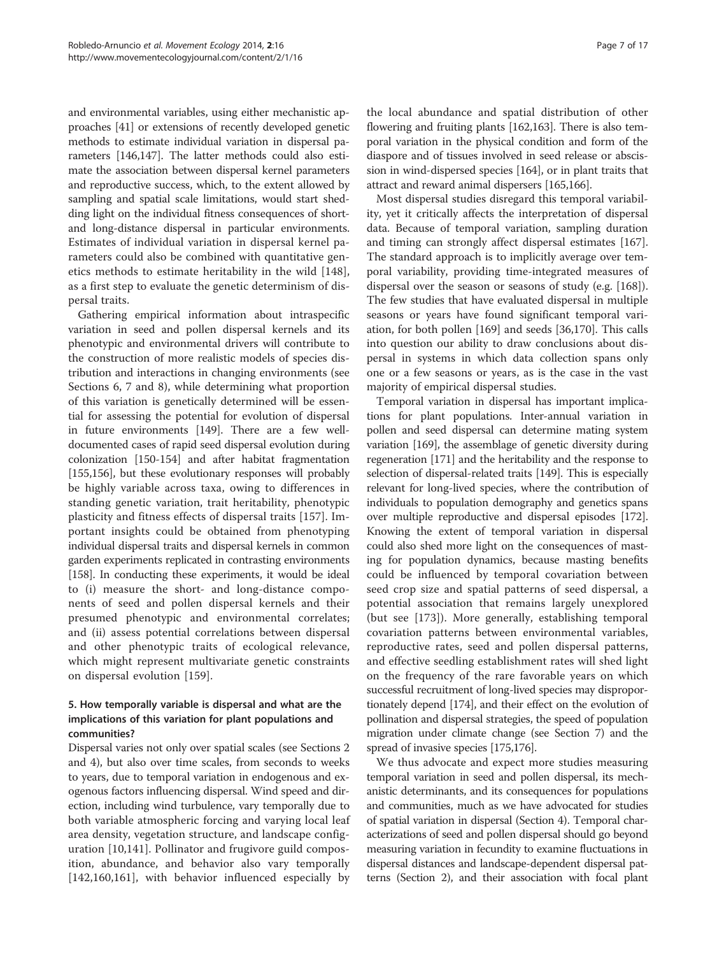<span id="page-6-0"></span>and environmental variables, using either mechanistic approaches [[41](#page-11-0)] or extensions of recently developed genetic methods to estimate individual variation in dispersal parameters [[146,147\]](#page-13-0). The latter methods could also estimate the association between dispersal kernel parameters and reproductive success, which, to the extent allowed by sampling and spatial scale limitations, would start shedding light on the individual fitness consequences of shortand long-distance dispersal in particular environments. Estimates of individual variation in dispersal kernel parameters could also be combined with quantitative genetics methods to estimate heritability in the wild [\[148](#page-14-0)], as a first step to evaluate the genetic determinism of dispersal traits.

Gathering empirical information about intraspecific variation in seed and pollen dispersal kernels and its phenotypic and environmental drivers will contribute to the construction of more realistic models of species distribution and interactions in changing environments (see [Sections 6,](#page-7-0) [7](#page-8-0) and [8](#page-9-0)), while determining what proportion of this variation is genetically determined will be essential for assessing the potential for evolution of dispersal in future environments [[149](#page-14-0)]. There are a few welldocumented cases of rapid seed dispersal evolution during colonization [[150](#page-14-0)-[154](#page-14-0)] and after habitat fragmentation [[155,156\]](#page-14-0), but these evolutionary responses will probably be highly variable across taxa, owing to differences in standing genetic variation, trait heritability, phenotypic plasticity and fitness effects of dispersal traits [[157\]](#page-14-0). Important insights could be obtained from phenotyping individual dispersal traits and dispersal kernels in common garden experiments replicated in contrasting environments [[158\]](#page-14-0). In conducting these experiments, it would be ideal to (i) measure the short- and long-distance components of seed and pollen dispersal kernels and their presumed phenotypic and environmental correlates; and (ii) assess potential correlations between dispersal and other phenotypic traits of ecological relevance, which might represent multivariate genetic constraints on dispersal evolution [\[159](#page-14-0)].

### 5. How temporally variable is dispersal and what are the implications of this variation for plant populations and communities?

Dispersal varies not only over spatial scales (see [Sections 2](#page-2-0) and [4](#page-5-0)), but also over time scales, from seconds to weeks to years, due to temporal variation in endogenous and exogenous factors influencing dispersal. Wind speed and direction, including wind turbulence, vary temporally due to both variable atmospheric forcing and varying local leaf area density, vegetation structure, and landscape configuration [[10](#page-11-0)[,141](#page-13-0)]. Pollinator and frugivore guild composition, abundance, and behavior also vary temporally [[142](#page-13-0)[,160,161](#page-14-0)], with behavior influenced especially by

the local abundance and spatial distribution of other flowering and fruiting plants [[162,163\]](#page-14-0). There is also temporal variation in the physical condition and form of the diaspore and of tissues involved in seed release or abscission in wind-dispersed species [\[164](#page-14-0)], or in plant traits that attract and reward animal dispersers [[165,166\]](#page-14-0).

Most dispersal studies disregard this temporal variability, yet it critically affects the interpretation of dispersal data. Because of temporal variation, sampling duration and timing can strongly affect dispersal estimates [[167](#page-14-0)]. The standard approach is to implicitly average over temporal variability, providing time-integrated measures of dispersal over the season or seasons of study (e.g. [\[168](#page-14-0)]). The few studies that have evaluated dispersal in multiple seasons or years have found significant temporal variation, for both pollen [\[169\]](#page-14-0) and seeds [[36,](#page-11-0)[170\]](#page-14-0). This calls into question our ability to draw conclusions about dispersal in systems in which data collection spans only one or a few seasons or years, as is the case in the vast majority of empirical dispersal studies.

Temporal variation in dispersal has important implications for plant populations. Inter-annual variation in pollen and seed dispersal can determine mating system variation [\[169](#page-14-0)], the assemblage of genetic diversity during regeneration [[171](#page-14-0)] and the heritability and the response to selection of dispersal-related traits [\[149\]](#page-14-0). This is especially relevant for long-lived species, where the contribution of individuals to population demography and genetics spans over multiple reproductive and dispersal episodes [\[172](#page-14-0)]. Knowing the extent of temporal variation in dispersal could also shed more light on the consequences of masting for population dynamics, because masting benefits could be influenced by temporal covariation between seed crop size and spatial patterns of seed dispersal, a potential association that remains largely unexplored (but see [[173\]](#page-14-0)). More generally, establishing temporal covariation patterns between environmental variables, reproductive rates, seed and pollen dispersal patterns, and effective seedling establishment rates will shed light on the frequency of the rare favorable years on which successful recruitment of long-lived species may disproportionately depend [[174\]](#page-14-0), and their effect on the evolution of pollination and dispersal strategies, the speed of population migration under climate change (see [Section 7](#page-8-0)) and the spread of invasive species [\[175,176\]](#page-14-0).

We thus advocate and expect more studies measuring temporal variation in seed and pollen dispersal, its mechanistic determinants, and its consequences for populations and communities, much as we have advocated for studies of spatial variation in dispersal [\(Section 4](#page-5-0)). Temporal characterizations of seed and pollen dispersal should go beyond measuring variation in fecundity to examine fluctuations in dispersal distances and landscape-dependent dispersal patterns [\(Section 2](#page-2-0)), and their association with focal plant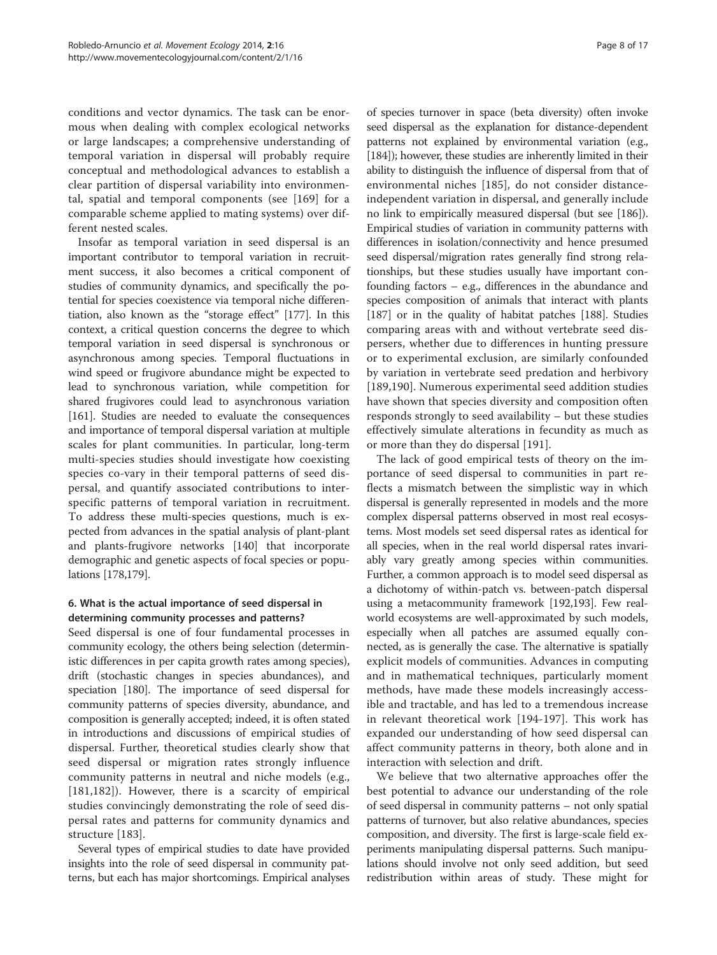<span id="page-7-0"></span>conditions and vector dynamics. The task can be enormous when dealing with complex ecological networks or large landscapes; a comprehensive understanding of temporal variation in dispersal will probably require conceptual and methodological advances to establish a clear partition of dispersal variability into environmental, spatial and temporal components (see [[169\]](#page-14-0) for a comparable scheme applied to mating systems) over different nested scales.

Insofar as temporal variation in seed dispersal is an important contributor to temporal variation in recruitment success, it also becomes a critical component of studies of community dynamics, and specifically the potential for species coexistence via temporal niche differentiation, also known as the "storage effect" [\[177\]](#page-14-0). In this context, a critical question concerns the degree to which temporal variation in seed dispersal is synchronous or asynchronous among species. Temporal fluctuations in wind speed or frugivore abundance might be expected to lead to synchronous variation, while competition for shared frugivores could lead to asynchronous variation [[161](#page-14-0)]. Studies are needed to evaluate the consequences and importance of temporal dispersal variation at multiple scales for plant communities. In particular, long-term multi-species studies should investigate how coexisting species co-vary in their temporal patterns of seed dispersal, and quantify associated contributions to interspecific patterns of temporal variation in recruitment. To address these multi-species questions, much is expected from advances in the spatial analysis of plant-plant and plants-frugivore networks [[140](#page-13-0)] that incorporate demographic and genetic aspects of focal species or populations [[178,179\]](#page-14-0).

# 6. What is the actual importance of seed dispersal in determining community processes and patterns?

Seed dispersal is one of four fundamental processes in community ecology, the others being selection (deterministic differences in per capita growth rates among species), drift (stochastic changes in species abundances), and speciation [\[180\]](#page-14-0). The importance of seed dispersal for community patterns of species diversity, abundance, and composition is generally accepted; indeed, it is often stated in introductions and discussions of empirical studies of dispersal. Further, theoretical studies clearly show that seed dispersal or migration rates strongly influence community patterns in neutral and niche models (e.g., [[181,182](#page-14-0)]). However, there is a scarcity of empirical studies convincingly demonstrating the role of seed dispersal rates and patterns for community dynamics and structure [\[183](#page-14-0)].

Several types of empirical studies to date have provided insights into the role of seed dispersal in community patterns, but each has major shortcomings. Empirical analyses of species turnover in space (beta diversity) often invoke seed dispersal as the explanation for distance-dependent patterns not explained by environmental variation (e.g., [[184](#page-14-0)]); however, these studies are inherently limited in their ability to distinguish the influence of dispersal from that of environmental niches [\[185](#page-14-0)], do not consider distanceindependent variation in dispersal, and generally include no link to empirically measured dispersal (but see [[186](#page-14-0)]). Empirical studies of variation in community patterns with differences in isolation/connectivity and hence presumed seed dispersal/migration rates generally find strong relationships, but these studies usually have important confounding factors – e.g., differences in the abundance and species composition of animals that interact with plants [[187](#page-14-0)] or in the quality of habitat patches [[188](#page-14-0)]. Studies comparing areas with and without vertebrate seed dispersers, whether due to differences in hunting pressure or to experimental exclusion, are similarly confounded by variation in vertebrate seed predation and herbivory [[189,190](#page-14-0)]. Numerous experimental seed addition studies have shown that species diversity and composition often responds strongly to seed availability – but these studies effectively simulate alterations in fecundity as much as or more than they do dispersal [[191\]](#page-14-0).

The lack of good empirical tests of theory on the importance of seed dispersal to communities in part reflects a mismatch between the simplistic way in which dispersal is generally represented in models and the more complex dispersal patterns observed in most real ecosystems. Most models set seed dispersal rates as identical for all species, when in the real world dispersal rates invariably vary greatly among species within communities. Further, a common approach is to model seed dispersal as a dichotomy of within-patch vs. between-patch dispersal using a metacommunity framework [[192,193\]](#page-14-0). Few realworld ecosystems are well-approximated by such models, especially when all patches are assumed equally connected, as is generally the case. The alternative is spatially explicit models of communities. Advances in computing and in mathematical techniques, particularly moment methods, have made these models increasingly accessible and tractable, and has led to a tremendous increase in relevant theoretical work [[194-197](#page-14-0)]. This work has expanded our understanding of how seed dispersal can affect community patterns in theory, both alone and in interaction with selection and drift.

We believe that two alternative approaches offer the best potential to advance our understanding of the role of seed dispersal in community patterns – not only spatial patterns of turnover, but also relative abundances, species composition, and diversity. The first is large-scale field experiments manipulating dispersal patterns. Such manipulations should involve not only seed addition, but seed redistribution within areas of study. These might for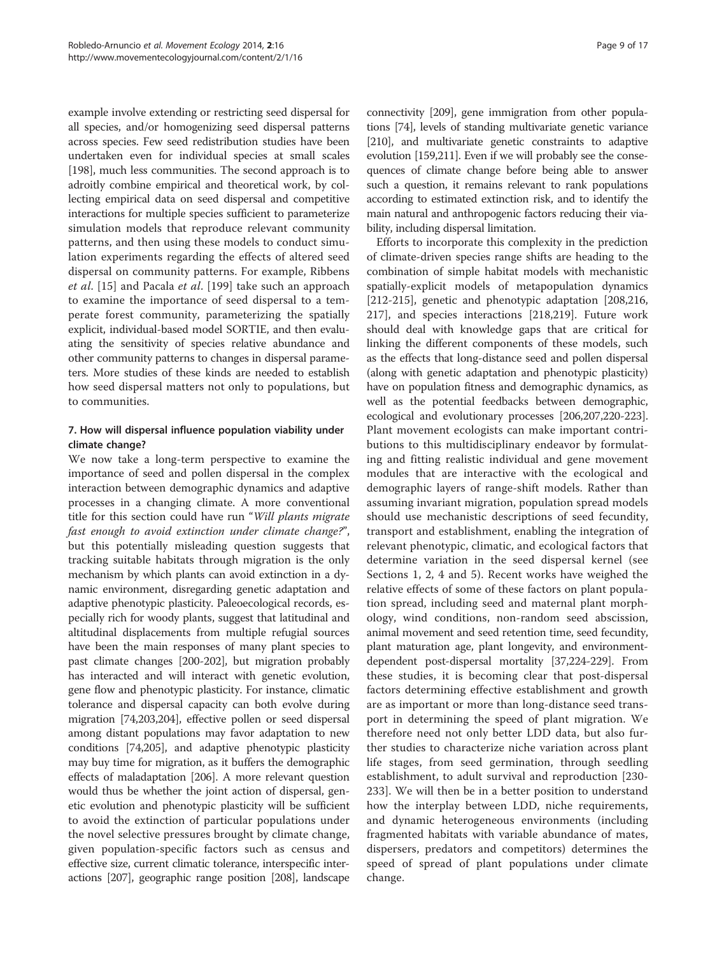<span id="page-8-0"></span>example involve extending or restricting seed dispersal for all species, and/or homogenizing seed dispersal patterns across species. Few seed redistribution studies have been undertaken even for individual species at small scales [[198](#page-14-0)], much less communities. The second approach is to adroitly combine empirical and theoretical work, by collecting empirical data on seed dispersal and competitive interactions for multiple species sufficient to parameterize simulation models that reproduce relevant community patterns, and then using these models to conduct simulation experiments regarding the effects of altered seed dispersal on community patterns. For example, Ribbens et al. [[15](#page-11-0)] and Pacala et al. [\[199](#page-14-0)] take such an approach to examine the importance of seed dispersal to a temperate forest community, parameterizing the spatially explicit, individual-based model SORTIE, and then evaluating the sensitivity of species relative abundance and other community patterns to changes in dispersal parameters. More studies of these kinds are needed to establish how seed dispersal matters not only to populations, but to communities.

# 7. How will dispersal influence population viability under climate change?

We now take a long-term perspective to examine the importance of seed and pollen dispersal in the complex interaction between demographic dynamics and adaptive processes in a changing climate. A more conventional title for this section could have run "Will plants migrate fast enough to avoid extinction under climate change?", but this potentially misleading question suggests that tracking suitable habitats through migration is the only mechanism by which plants can avoid extinction in a dynamic environment, disregarding genetic adaptation and adaptive phenotypic plasticity. Paleoecological records, especially rich for woody plants, suggest that latitudinal and altitudinal displacements from multiple refugial sources have been the main responses of many plant species to past climate changes [\[200-202\]](#page-14-0), but migration probably has interacted and will interact with genetic evolution, gene flow and phenotypic plasticity. For instance, climatic tolerance and dispersal capacity can both evolve during migration [\[74,](#page-12-0)[203,204\]](#page-15-0), effective pollen or seed dispersal among distant populations may favor adaptation to new conditions [[74](#page-12-0)[,205\]](#page-15-0), and adaptive phenotypic plasticity may buy time for migration, as it buffers the demographic effects of maladaptation [[206](#page-15-0)]. A more relevant question would thus be whether the joint action of dispersal, genetic evolution and phenotypic plasticity will be sufficient to avoid the extinction of particular populations under the novel selective pressures brought by climate change, given population-specific factors such as census and effective size, current climatic tolerance, interspecific interactions [[207](#page-15-0)], geographic range position [\[208\]](#page-15-0), landscape

connectivity [\[209](#page-15-0)], gene immigration from other populations [[74](#page-12-0)], levels of standing multivariate genetic variance [[210](#page-15-0)], and multivariate genetic constraints to adaptive evolution [\[159,](#page-14-0)[211\]](#page-15-0). Even if we will probably see the consequences of climate change before being able to answer such a question, it remains relevant to rank populations according to estimated extinction risk, and to identify the main natural and anthropogenic factors reducing their viability, including dispersal limitation.

Efforts to incorporate this complexity in the prediction of climate-driven species range shifts are heading to the combination of simple habitat models with mechanistic spatially-explicit models of metapopulation dynamics [[212-215\]](#page-15-0), genetic and phenotypic adaptation [[208,216](#page-15-0), [217](#page-15-0)], and species interactions [[218,219](#page-15-0)]. Future work should deal with knowledge gaps that are critical for linking the different components of these models, such as the effects that long-distance seed and pollen dispersal (along with genetic adaptation and phenotypic plasticity) have on population fitness and demographic dynamics, as well as the potential feedbacks between demographic, ecological and evolutionary processes [[206,207,220-223](#page-15-0)]. Plant movement ecologists can make important contributions to this multidisciplinary endeavor by formulating and fitting realistic individual and gene movement modules that are interactive with the ecological and demographic layers of range-shift models. Rather than assuming invariant migration, population spread models should use mechanistic descriptions of seed fecundity, transport and establishment, enabling the integration of relevant phenotypic, climatic, and ecological factors that determine variation in the seed dispersal kernel (see [Sections 1,](#page-1-0) [2,](#page-2-0) [4](#page-5-0) and [5](#page-6-0)). Recent works have weighed the relative effects of some of these factors on plant population spread, including seed and maternal plant morphology, wind conditions, non-random seed abscission, animal movement and seed retention time, seed fecundity, plant maturation age, plant longevity, and environmentdependent post-dispersal mortality [[37,](#page-11-0)[224](#page-15-0)-[229](#page-15-0)]. From these studies, it is becoming clear that post-dispersal factors determining effective establishment and growth are as important or more than long-distance seed transport in determining the speed of plant migration. We therefore need not only better LDD data, but also further studies to characterize niche variation across plant life stages, from seed germination, through seedling establishment, to adult survival and reproduction [[230](#page-15-0)- [233\]](#page-15-0). We will then be in a better position to understand how the interplay between LDD, niche requirements, and dynamic heterogeneous environments (including fragmented habitats with variable abundance of mates, dispersers, predators and competitors) determines the speed of spread of plant populations under climate change.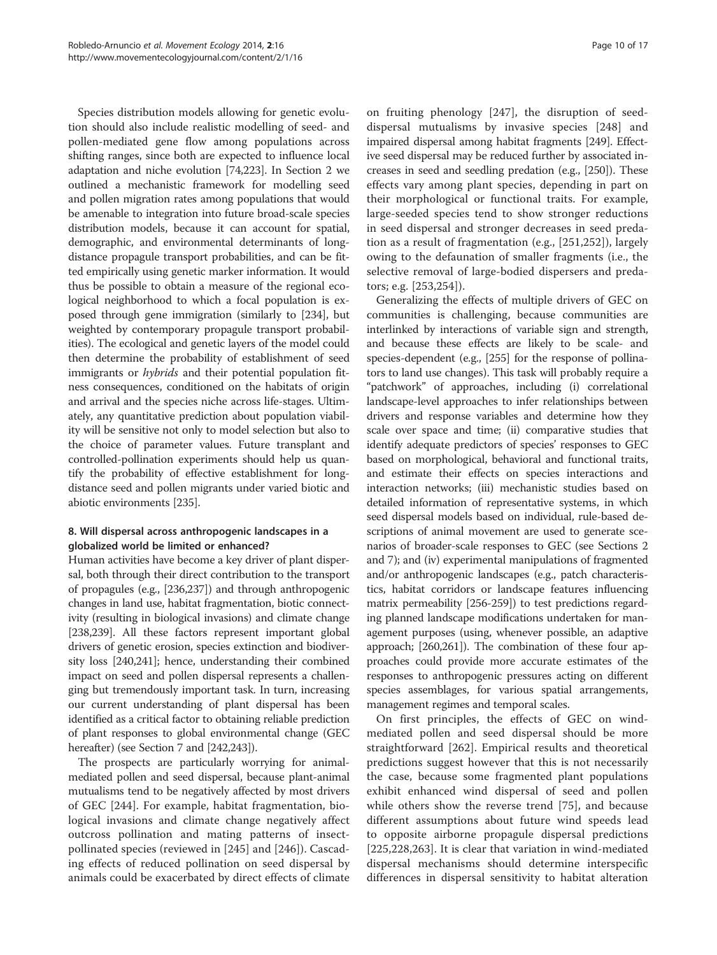<span id="page-9-0"></span>Species distribution models allowing for genetic evolution should also include realistic modelling of seed- and pollen-mediated gene flow among populations across shifting ranges, since both are expected to influence local adaptation and niche evolution [\[74](#page-12-0)[,223\]](#page-15-0). In [Section 2](#page-2-0) we outlined a mechanistic framework for modelling seed and pollen migration rates among populations that would be amenable to integration into future broad-scale species distribution models, because it can account for spatial, demographic, and environmental determinants of longdistance propagule transport probabilities, and can be fitted empirically using genetic marker information. It would thus be possible to obtain a measure of the regional ecological neighborhood to which a focal population is exposed through gene immigration (similarly to [\[234\]](#page-15-0), but weighted by contemporary propagule transport probabilities). The ecological and genetic layers of the model could then determine the probability of establishment of seed immigrants or *hybrids* and their potential population fitness consequences, conditioned on the habitats of origin and arrival and the species niche across life-stages. Ultimately, any quantitative prediction about population viability will be sensitive not only to model selection but also to the choice of parameter values. Future transplant and controlled-pollination experiments should help us quantify the probability of effective establishment for longdistance seed and pollen migrants under varied biotic and abiotic environments [[235](#page-15-0)].

# 8. Will dispersal across anthropogenic landscapes in a globalized world be limited or enhanced?

Human activities have become a key driver of plant dispersal, both through their direct contribution to the transport of propagules (e.g., [\[236,237\]](#page-15-0)) and through anthropogenic changes in land use, habitat fragmentation, biotic connectivity (resulting in biological invasions) and climate change [[238,239\]](#page-15-0). All these factors represent important global drivers of genetic erosion, species extinction and biodiversity loss [\[240,241](#page-15-0)]; hence, understanding their combined impact on seed and pollen dispersal represents a challenging but tremendously important task. In turn, increasing our current understanding of plant dispersal has been identified as a critical factor to obtaining reliable prediction of plant responses to global environmental change (GEC hereafter) (see [Section 7](#page-8-0) and [\[242,243\]](#page-15-0)).

The prospects are particularly worrying for animalmediated pollen and seed dispersal, because plant-animal mutualisms tend to be negatively affected by most drivers of GEC [[244\]](#page-15-0). For example, habitat fragmentation, biological invasions and climate change negatively affect outcross pollination and mating patterns of insectpollinated species (reviewed in [\[245](#page-15-0)] and [\[246](#page-15-0)]). Cascading effects of reduced pollination on seed dispersal by animals could be exacerbated by direct effects of climate

on fruiting phenology [[247\]](#page-15-0), the disruption of seeddispersal mutualisms by invasive species [\[248](#page-15-0)] and impaired dispersal among habitat fragments [\[249](#page-15-0)]. Effective seed dispersal may be reduced further by associated increases in seed and seedling predation (e.g., [[250](#page-15-0)]). These effects vary among plant species, depending in part on their morphological or functional traits. For example, large-seeded species tend to show stronger reductions in seed dispersal and stronger decreases in seed predation as a result of fragmentation (e.g., [\[251](#page-16-0),[252\]](#page-16-0)), largely owing to the defaunation of smaller fragments (i.e., the selective removal of large-bodied dispersers and predators; e.g. [\[253](#page-16-0),[254\]](#page-16-0)).

Generalizing the effects of multiple drivers of GEC on communities is challenging, because communities are interlinked by interactions of variable sign and strength, and because these effects are likely to be scale- and species-dependent (e.g., [\[255\]](#page-16-0) for the response of pollinators to land use changes). This task will probably require a "patchwork" of approaches, including (i) correlational landscape-level approaches to infer relationships between drivers and response variables and determine how they scale over space and time; (ii) comparative studies that identify adequate predictors of species' responses to GEC based on morphological, behavioral and functional traits, and estimate their effects on species interactions and interaction networks; (iii) mechanistic studies based on detailed information of representative systems, in which seed dispersal models based on individual, rule-based descriptions of animal movement are used to generate scenarios of broader-scale responses to GEC (see [Sections 2](#page-2-0) and [7](#page-8-0)); and (iv) experimental manipulations of fragmented and/or anthropogenic landscapes (e.g., patch characteristics, habitat corridors or landscape features influencing matrix permeability [\[256-259\]](#page-16-0)) to test predictions regarding planned landscape modifications undertaken for management purposes (using, whenever possible, an adaptive approach; [[260,261\]](#page-16-0)). The combination of these four approaches could provide more accurate estimates of the responses to anthropogenic pressures acting on different species assemblages, for various spatial arrangements, management regimes and temporal scales.

On first principles, the effects of GEC on windmediated pollen and seed dispersal should be more straightforward [[262\]](#page-16-0). Empirical results and theoretical predictions suggest however that this is not necessarily the case, because some fragmented plant populations exhibit enhanced wind dispersal of seed and pollen while others show the reverse trend [\[75](#page-12-0)], and because different assumptions about future wind speeds lead to opposite airborne propagule dispersal predictions [[225,228](#page-15-0)[,263](#page-16-0)]. It is clear that variation in wind-mediated dispersal mechanisms should determine interspecific differences in dispersal sensitivity to habitat alteration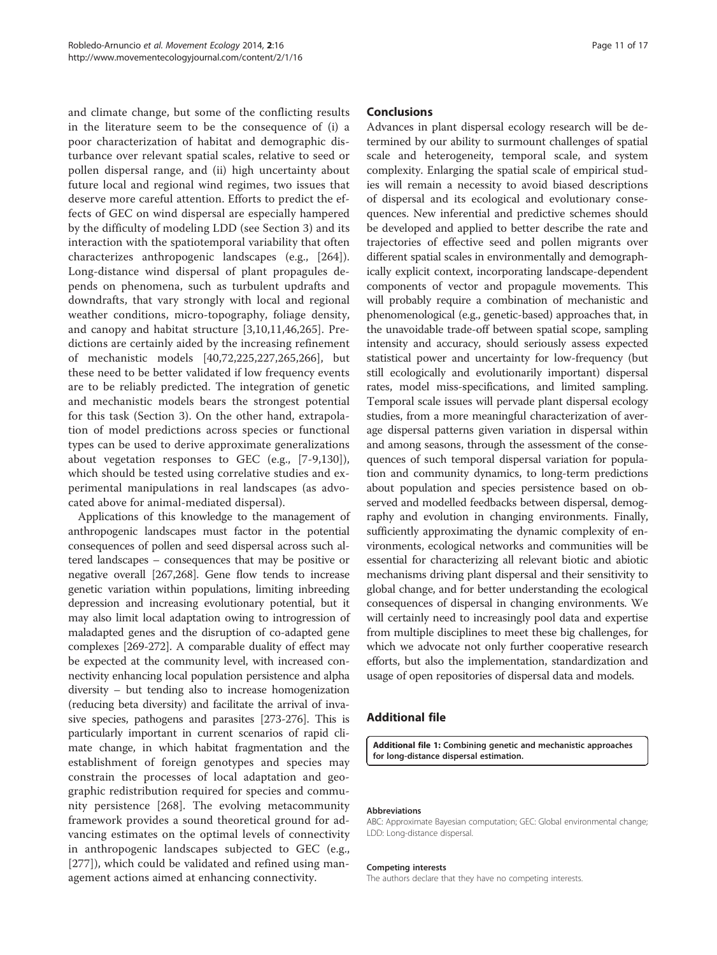<span id="page-10-0"></span>and climate change, but some of the conflicting results in the literature seem to be the consequence of (i) a poor characterization of habitat and demographic disturbance over relevant spatial scales, relative to seed or pollen dispersal range, and (ii) high uncertainty about future local and regional wind regimes, two issues that deserve more careful attention. Efforts to predict the effects of GEC on wind dispersal are especially hampered by the difficulty of modeling LDD (see [Section 3\)](#page-3-0) and its interaction with the spatiotemporal variability that often characterizes anthropogenic landscapes (e.g., [[264\]](#page-16-0)). Long-distance wind dispersal of plant propagules depends on phenomena, such as turbulent updrafts and downdrafts, that vary strongly with local and regional weather conditions, micro-topography, foliage density, and canopy and habitat structure [[3,10,11](#page-11-0),[46,](#page-12-0)[265\]](#page-16-0). Predictions are certainly aided by the increasing refinement of mechanistic models [[40](#page-11-0)[,72](#page-12-0)[,225](#page-15-0),[227,](#page-15-0)[265,266](#page-16-0)], but these need to be better validated if low frequency events are to be reliably predicted. The integration of genetic and mechanistic models bears the strongest potential for this task [\(Section 3\)](#page-3-0). On the other hand, extrapolation of model predictions across species or functional types can be used to derive approximate generalizations about vegetation responses to GEC (e.g., [[7-9,](#page-11-0)[130\]](#page-13-0)), which should be tested using correlative studies and experimental manipulations in real landscapes (as advocated above for animal-mediated dispersal).

Applications of this knowledge to the management of anthropogenic landscapes must factor in the potential consequences of pollen and seed dispersal across such altered landscapes – consequences that may be positive or negative overall [\[267,268](#page-16-0)]. Gene flow tends to increase genetic variation within populations, limiting inbreeding depression and increasing evolutionary potential, but it may also limit local adaptation owing to introgression of maladapted genes and the disruption of co-adapted gene complexes [\[269-272\]](#page-16-0). A comparable duality of effect may be expected at the community level, with increased connectivity enhancing local population persistence and alpha diversity – but tending also to increase homogenization (reducing beta diversity) and facilitate the arrival of invasive species, pathogens and parasites [\[273-276\]](#page-16-0). This is particularly important in current scenarios of rapid climate change, in which habitat fragmentation and the establishment of foreign genotypes and species may constrain the processes of local adaptation and geographic redistribution required for species and community persistence [[268\]](#page-16-0). The evolving metacommunity framework provides a sound theoretical ground for advancing estimates on the optimal levels of connectivity in anthropogenic landscapes subjected to GEC (e.g., [[277\]](#page-16-0)), which could be validated and refined using management actions aimed at enhancing connectivity.

#### Conclusions

Advances in plant dispersal ecology research will be determined by our ability to surmount challenges of spatial scale and heterogeneity, temporal scale, and system complexity. Enlarging the spatial scale of empirical studies will remain a necessity to avoid biased descriptions of dispersal and its ecological and evolutionary consequences. New inferential and predictive schemes should be developed and applied to better describe the rate and trajectories of effective seed and pollen migrants over different spatial scales in environmentally and demographically explicit context, incorporating landscape-dependent components of vector and propagule movements. This will probably require a combination of mechanistic and phenomenological (e.g., genetic-based) approaches that, in the unavoidable trade-off between spatial scope, sampling intensity and accuracy, should seriously assess expected statistical power and uncertainty for low-frequency (but still ecologically and evolutionarily important) dispersal rates, model miss-specifications, and limited sampling. Temporal scale issues will pervade plant dispersal ecology studies, from a more meaningful characterization of average dispersal patterns given variation in dispersal within and among seasons, through the assessment of the consequences of such temporal dispersal variation for population and community dynamics, to long-term predictions about population and species persistence based on observed and modelled feedbacks between dispersal, demography and evolution in changing environments. Finally, sufficiently approximating the dynamic complexity of environments, ecological networks and communities will be essential for characterizing all relevant biotic and abiotic mechanisms driving plant dispersal and their sensitivity to global change, and for better understanding the ecological consequences of dispersal in changing environments. We will certainly need to increasingly pool data and expertise from multiple disciplines to meet these big challenges, for which we advocate not only further cooperative research efforts, but also the implementation, standardization and usage of open repositories of dispersal data and models.

# Additional file

[Additional file 1:](http://www.movementecologyjournal.com/content/Supplementary/s40462-014-0016-3-S1.docx) Combining genetic and mechanistic approaches for long-distance dispersal estimation.

#### Abbreviations

ABC: Approximate Bayesian computation; GEC: Global environmental change; LDD: Long-distance dispersal.

#### Competing interests

The authors declare that they have no competing interests.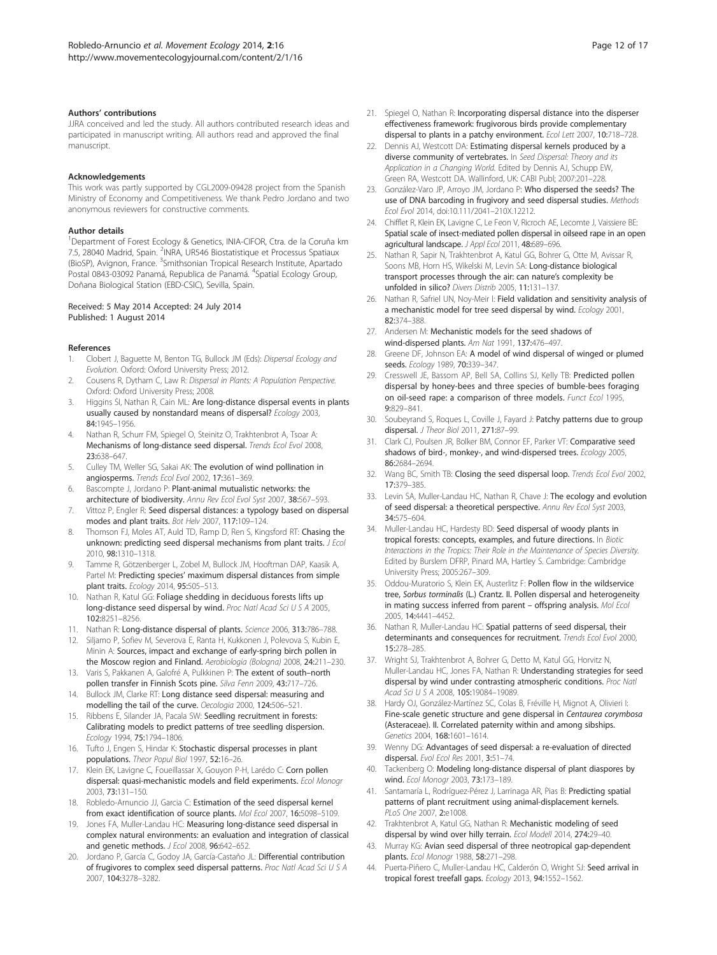#### <span id="page-11-0"></span>Authors' contributions

JJRA conceived and led the study. All authors contributed research ideas and participated in manuscript writing. All authors read and approved the final manuscript.

#### Acknowledgements

This work was partly supported by CGL2009-09428 project from the Spanish Ministry of Economy and Competitiveness. We thank Pedro Jordano and two anonymous reviewers for constructive comments.

#### Author details

<sup>1</sup>Department of Forest Ecology & Genetics, INIA-CIFOR, Ctra. de la Coruña km 7.5, 28040 Madrid, Spain. <sup>2</sup>INRA, UR546 Biostatistique et Processus Spatiaux (BioSP), Avignon, France. <sup>3</sup>Smithsonian Tropical Research Institute, Apartado Postal 0843-03092 Panamá, Republica de Panamá. <sup>4</sup>Spatial Ecology Group, Doñana Biological Station (EBD-CSIC), Sevilla, Spain.

#### Received: 5 May 2014 Accepted: 24 July 2014 Published: 1 August 2014

#### References

- 1. Clobert J, Baguette M, Benton TG, Bullock JM (Eds): Dispersal Ecology and Evolution. Oxford: Oxford University Press; 2012.
- 2. Cousens R, Dytham C, Law R: Dispersal in Plants: A Population Perspective. Oxford: Oxford University Press; 2008.
- 3. Higgins SI, Nathan R, Cain ML: Are long-distance dispersal events in plants usually caused by nonstandard means of dispersal? Ecology 2003, 84:1945–1956.
- 4. Nathan R, Schurr FM, Spiegel O, Steinitz O, Trakhtenbrot A, Tsoar A: Mechanisms of long-distance seed dispersal. Trends Ecol Evol 2008, 23:638–647.
- 5. Culley TM, Weller SG, Sakai AK: The evolution of wind pollination in angiosperms. Trends Ecol Evol 2002, 17:361–369.
- 6. Bascompte J, Jordano P: Plant-animal mutualistic networks: the architecture of biodiversity. Annu Rev Ecol Evol Syst 2007, 38:567–593.
- 7. Vittoz P, Engler R: Seed dispersal distances: a typology based on dispersal modes and plant traits. Bot Helv 2007, 117:109–124.
- 8. Thomson FJ, Moles AT, Auld TD, Ramp D, Ren S, Kingsford RT: Chasing the unknown: predicting seed dispersal mechanisms from plant traits. J Ecol 2010, 98:1310–1318.
- 9. Tamme R, Götzenberger L, Zobel M, Bullock JM, Hooftman DAP, Kaasik A, Partel M: Predicting species' maximum dispersal distances from simple plant traits. Ecology 2014, 95:505–513.
- 10. Nathan R, Katul GG: Foliage shedding in deciduous forests lifts up long-distance seed dispersal by wind. Proc Natl Acad Sci U S A 2005, 102:8251–8256.
- 11. Nathan R: Long-distance dispersal of plants. Science 2006, 313:786-788.
- 12. Siljamo P, Sofiev M, Severova E, Ranta H, Kukkonen J, Polevova S, Kubin E, Minin A: Sources, impact and exchange of early-spring birch pollen in the Moscow region and Finland. Aerobiologia (Bologna) 2008, 24:211–230.
- 13. Varis S, Pakkanen A, Galofré A, Pulkkinen P: The extent of south-north pollen transfer in Finnish Scots pine. Silva Fenn 2009, 43:717-726.
- 14. Bullock JM, Clarke RT: Long distance seed dispersal: measuring and modelling the tail of the curve. Oecologia 2000, 124:506–521.
- 15. Ribbens E, Silander JA, Pacala SW: Seedling recruitment in forests: Calibrating models to predict patterns of tree seedling dispersion. Ecology 1994, 75:1794–1806.
- 16. Tufto J, Engen S, Hindar K: Stochastic dispersal processes in plant populations. Theor Popul Biol 1997, 52:16–26.
- 17. Klein EK, Lavigne C, Foueillassar X, Gouyon P-H, Larédo C: Corn pollen dispersal: quasi-mechanistic models and field experiments. Ecol Monogr 2003, 73:131–150.
- 18. Robledo-Arnuncio JJ, Garcia C: Estimation of the seed dispersal kernel from exact identification of source plants. Mol Ecol 2007, 16:5098–5109.
- 19. Jones FA, Muller-Landau HC: Measuring long-distance seed dispersal in complex natural environments: an evaluation and integration of classical and genetic methods. J Ecol 2008, 96:642-652.
- 20. Jordano P, García C, Godoy JA, García-Castaño JL: Differential contribution of frugivores to complex seed dispersal patterns. Proc Natl Acad Sci U S A 2007, 104:3278–3282.
- 21. Spiegel O, Nathan R: Incorporating dispersal distance into the disperser effectiveness framework: frugivorous birds provide complementary dispersal to plants in a patchy environment. Ecol Lett 2007, 10:718–728.
- 22. Dennis AJ, Westcott DA: Estimating dispersal kernels produced by a diverse community of vertebrates. In Seed Dispersal: Theory and its Application in a Changing World. Edited by Dennis AJ, Schupp EW, Green RA, Westcott DA. Wallinford, UK: CABI Publ; 2007:201–228.
- 23. González-Varo JP, Arroyo JM, Jordano P: Who dispersed the seeds? The use of DNA barcoding in frugivory and seed dispersal studies. Methods Ecol Evol 2014, doi:10.111/2041–210X.12212.
- 24. Chifflet R, Klein EK, Lavigne C, Le Feon V, Ricroch AE, Lecomte J, Vaissiere BE: Spatial scale of insect-mediated pollen dispersal in oilseed rape in an open agricultural landscape. J Appl Ecol 2011, 48:689-696.
- 25. Nathan R, Sapir N, Trakhtenbrot A, Katul GG, Bohrer G, Otte M, Avissar R, Soons MB, Horn HS, Wikelski M, Levin SA: Long-distance biological transport processes through the air: can nature's complexity be unfolded in silico? Divers Distrib 2005, 11:131–137.
- 26. Nathan R, Safriel UN, Noy-Meir I: Field validation and sensitivity analysis of a mechanistic model for tree seed dispersal by wind. Ecology 2001, 82:374–388.
- 27. Andersen M: Mechanistic models for the seed shadows of wind-dispersed plants. Am Nat 1991, 137:476–497.
- 28. Greene DF, Johnson EA: A model of wind dispersal of winged or plumed seeds. Ecology 1989, 70:339–347.
- 29. Cresswell JE, Bassom AP, Bell SA, Collins SJ, Kelly TB: Predicted pollen dispersal by honey-bees and three species of bumble-bees foraging on oil-seed rape: a comparison of three models. Funct Ecol 1995, 9:829–841.
- 30. Soubeyrand S, Roques L, Coville J, Fayard J: Patchy patterns due to group dispersal. J Theor Biol 2011, 271:87–99.
- 31. Clark CJ, Poulsen JR, Bolker BM, Connor EF, Parker VT: Comparative seed shadows of bird-, monkey-, and wind-dispersed trees. Ecology 2005, 86:2684–2694.
- 32. Wang BC, Smith TB: Closing the seed dispersal loop. Trends Ecol Evol 2002, 17:379–385.
- 33. Levin SA, Muller-Landau HC, Nathan R, Chave J: The ecology and evolution of seed dispersal: a theoretical perspective. Annu Rev Ecol Syst 2003, 34:575–604.
- 34. Muller-Landau HC, Hardesty BD: Seed dispersal of woody plants in tropical forests: concepts, examples, and future directions. In Biotic Interactions in the Tropics: Their Role in the Maintenance of Species Diversity. Edited by Burslem DFRP, Pinard MA, Hartley S. Cambridge: Cambridge University Press; 2005:267–309.
- 35. Oddou-Muratorio S, Klein EK, Austerlitz F: Pollen flow in the wildservice tree, Sorbus torminalis (L.) Crantz. II. Pollen dispersal and heterogeneity in mating success inferred from parent – offspring analysis. Mol Ecol 2005, 14:4441–4452.
- 36. Nathan R, Muller-Landau HC: Spatial patterns of seed dispersal, their determinants and consequences for recruitment. Trends Ecol Evol 2000, 15:278–285.
- 37. Wright SJ, Trakhtenbrot A, Bohrer G, Detto M, Katul GG, Horvitz N, Muller-Landau HC, Jones FA, Nathan R: Understanding strategies for seed dispersal by wind under contrasting atmospheric conditions. Proc Natl Acad Sci U S A 2008, 105:19084–19089.
- 38. Hardy OJ, González-Martínez SC, Colas B, Fréville H, Mignot A, Olivieri I: Fine-scale genetic structure and gene dispersal in Centaurea corymbosa (Asteraceae). II. Correlated paternity within and among sibships. Genetics 2004, 168:1601–1614.
- 39. Wenny DG: Advantages of seed dispersal: a re-evaluation of directed dispersal. Evol Ecol Res 2001, 3:51–74.
- 40. Tackenberg O: Modeling long-distance dispersal of plant diaspores by wind. Ecol Monogr 2003, 73:173–189.
- 41. Santamaría L, Rodríguez-Pérez J, Larrinaga AR, Pias B: Predicting spatial patterns of plant recruitment using animal-displacement kernels. PLoS One 2007, 2:e1008.
- 42. Trakhtenbrot A, Katul GG, Nathan R: Mechanistic modeling of seed dispersal by wind over hilly terrain. Ecol Modell 2014, 274:29–40.
- 43. Murray KG: Avian seed dispersal of three neotropical gap-dependent plants. Ecol Monogr 1988, 58:271–298.
- 44. Puerta-Piñero C, Muller-Landau HC, Calderón O, Wright SJ: Seed arrival in tropical forest treefall gaps. Ecology 2013, 94:1552–1562.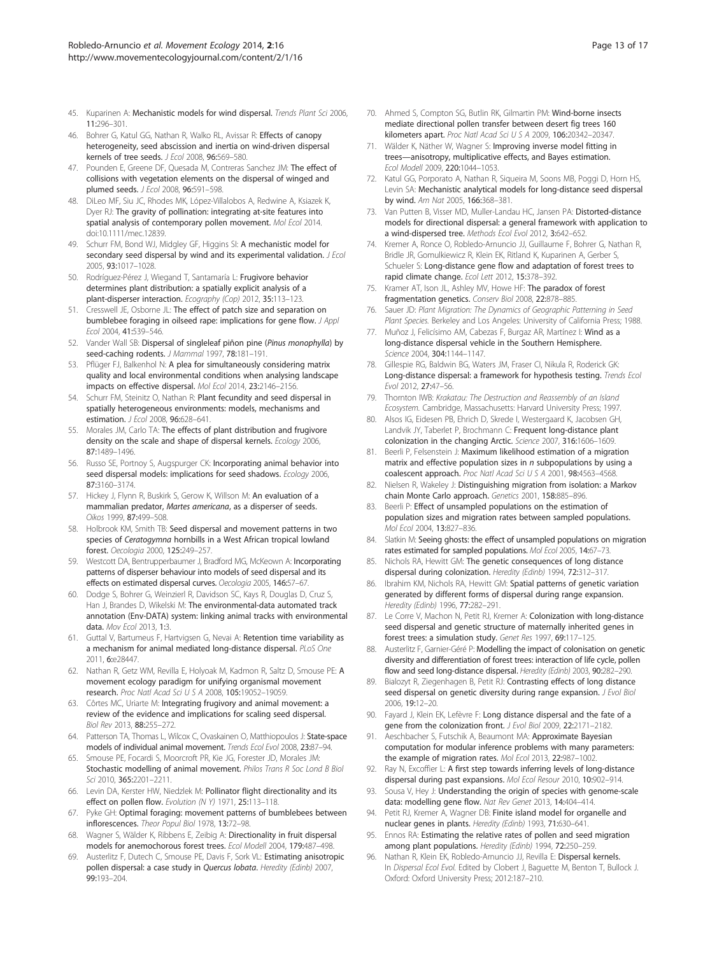- <span id="page-12-0"></span>45. Kuparinen A: Mechanistic models for wind dispersal. Trends Plant Sci 2006, 11:296–301.
- 46. Bohrer G, Katul GG, Nathan R, Walko RL, Avissar R: Effects of canopy heterogeneity, seed abscission and inertia on wind-driven dispersal kernels of tree seeds. J Ecol 2008, 96:569–580.
- 47. Pounden E, Greene DF, Quesada M, Contreras Sanchez JM: The effect of collisions with vegetation elements on the dispersal of winged and plumed seeds. J Ecol 2008, 96:591–598.
- 48. DiLeo MF, Siu JC, Rhodes MK, López-Villalobos A, Redwine A, Ksiazek K, Dyer RJ: The gravity of pollination: integrating at-site features into spatial analysis of contemporary pollen movement. Mol Ecol 2014. doi:10.1111/mec.12839.
- 49. Schurr FM, Bond WJ, Midgley GF, Higgins SI: A mechanistic model for secondary seed dispersal by wind and its experimental validation. J Ecol 2005, 93:1017–1028.
- 50. Rodríguez-Pérez J, Wiegand T, Santamaría L: Frugivore behavior determines plant distribution: a spatially explicit analysis of a plant-disperser interaction. Ecography (Cop) 2012, 35:113-123.
- 51. Cresswell JE, Osborne JL: The effect of patch size and separation on bumblebee foraging in oilseed rape: implications for gene flow. J Appl Ecol 2004, 41:539–546.
- 52. Vander Wall SB: Dispersal of singleleaf piñon pine (Pinus monophylla) by seed-caching rodents. J Mammal 1997, 78:181-191.
- 53. Pflüger FJ, Balkenhol N: A plea for simultaneously considering matrix quality and local environmental conditions when analysing landscape impacts on effective dispersal. Mol Ecol 2014, 23:2146–2156.
- 54. Schurr FM, Steinitz O, Nathan R: Plant fecundity and seed dispersal in spatially heterogeneous environments: models, mechanisms and estimation. J Ecol 2008, 96:628–641.
- 55. Morales JM, Carlo TA: The effects of plant distribution and frugivore density on the scale and shape of dispersal kernels. Ecology 2006, 87:1489–1496.
- 56. Russo SE, Portnoy S, Augspurger CK: Incorporating animal behavior into seed dispersal models: implications for seed shadows. Ecology 2006, 87:3160–3174.
- 57. Hickey J, Flynn R, Buskirk S, Gerow K, Willson M: An evaluation of a mammalian predator, Martes americana, as a disperser of seeds. Oikos 1999, 87:499–508.
- 58. Holbrook KM, Smith TB: Seed dispersal and movement patterns in two species of Ceratogymna hornbills in a West African tropical lowland forest. Oecologia 2000, 125:249–257.
- 59. Westcott DA, Bentrupperbaumer J, Bradford MG, McKeown A: Incorporating patterns of disperser behaviour into models of seed dispersal and its effects on estimated dispersal curves. Oecologia 2005, 146:57–67.
- 60. Dodge S, Bohrer G, Weinzierl R, Davidson SC, Kays R, Douglas D, Cruz S, Han J, Brandes D, Wikelski M: The environmental-data automated track annotation (Env-DATA) system: linking animal tracks with environmental data. Mov Fcol 2013, 1:3.
- 61. Guttal V, Bartumeus F, Hartvigsen G, Nevai A: Retention time variability as a mechanism for animal mediated long-distance dispersal. PLoS One 2011, 6:e28447.
- 62. Nathan R, Getz WM, Revilla E, Holyoak M, Kadmon R, Saltz D, Smouse PE: A movement ecology paradigm for unifying organismal movement research. Proc Natl Acad Sci U S A 2008, 105:19052–19059.
- 63. Côrtes MC, Uriarte M: Integrating frugivory and animal movement: a review of the evidence and implications for scaling seed dispersal. Biol Rev 2013, 88:255–272.
- 64. Patterson TA, Thomas L, Wilcox C, Ovaskainen O, Matthiopoulos J: State-space models of individual animal movement. Trends Ecol Evol 2008, 23:87–94.
- 65. Smouse PE, Focardi S, Moorcroft PR, Kie JG, Forester JD, Morales JM: Stochastic modelling of animal movement. Philos Trans R Soc Lond B Biol Sci 2010, 365:2201–2211.
- 66. Levin DA, Kerster HW, Niedzlek M: Pollinator flight directionality and its effect on pollen flow. Evolution (N Y) 1971, 25:113-118
- 67. Pyke GH: Optimal foraging: movement patterns of bumblebees between inflorescences. Theor Popul Biol 1978, 13:72–98.
- 68. Wagner S, Wälder K, Ribbens E, Zeibig A: Directionality in fruit dispersal models for anemochorous forest trees. Ecol Modell 2004, 179:487–498.
- 69. Austerlitz F, Dutech C, Smouse PE, Davis F, Sork VL: Estimating anisotropic pollen dispersal: a case study in Quercus lobata. Heredity (Edinb) 2007, 99:193–204.
- 70. Ahmed S, Compton SG, Butlin RK, Gilmartin PM: Wind-borne insects mediate directional pollen transfer between desert fig trees 160 kilometers apart. Proc Natl Acad Sci U S A 2009, 106:20342–20347.
- 71. Wälder K, Näther W, Wagner S: Improving inverse model fitting in trees—anisotropy, multiplicative effects, and Bayes estimation. Ecol Modell 2009, 220:1044–1053.
- 72. Katul GG, Porporato A, Nathan R, Siqueira M, Soons MB, Poggi D, Horn HS, Levin SA: Mechanistic analytical models for long-distance seed dispersal by wind. Am Nat 2005, 166:368–381.
- 73. Van Putten B, Visser MD, Muller-Landau HC, Jansen PA: Distorted-distance models for directional dispersal: a general framework with application to a wind-dispersed tree. Methods Ecol Evol 2012, 3:642–652.
- 74. Kremer A, Ronce O, Robledo-Arnuncio JJ, Guillaume F, Bohrer G, Nathan R, Bridle JR, Gomulkiewicz R, Klein EK, Ritland K, Kuparinen A, Gerber S, Schueler S: Long-distance gene flow and adaptation of forest trees to rapid climate change. Ecol Lett 2012, 15:378–392.
- 75. Kramer AT, Ison JL, Ashley MV, Howe HF: The paradox of forest fragmentation genetics. Conserv Biol 2008, 22:878–885.
- 76. Sauer JD: Plant Migration: The Dynamics of Geographic Patterning in Seed Plant Species. Berkeley and Los Angeles: University of California Press; 1988.
- 77. Muñoz J, Felicísimo AM, Cabezas F, Burgaz AR, Martínez I: Wind as a long-distance dispersal vehicle in the Southern Hemisphere. Science 2004, 304:1144–1147.
- 78. Gillespie RG, Baldwin BG, Waters JM, Fraser CI, Nikula R, Roderick GK: Long-distance dispersal: a framework for hypothesis testing. Trends Ecol Evol 2012, 27:47–56.
- 79. Thornton IWB: Krakatau: The Destruction and Reassembly of an Island Ecosystem. Cambridge, Massachusetts: Harvard University Press; 1997.
- 80. Alsos IG, Eidesen PB, Ehrich D, Skrede I, Westergaard K, Jacobsen GH, Landvik JY, Taberlet P, Brochmann C: Frequent long-distance plant colonization in the changing Arctic. Science 2007, 316:1606–1609.
- 81. Beerli P, Felsenstein J: Maximum likelihood estimation of a migration matrix and effective population sizes in  $n$  subpopulations by using a coalescent approach. Proc Natl Acad Sci U S A 2001, 98:4563-4568.
- 82. Nielsen R, Wakeley J: Distinguishing migration from isolation: a Markov chain Monte Carlo approach. Genetics 2001, 158:885–896.
- 83. Beerli P: Effect of unsampled populations on the estimation of population sizes and migration rates between sampled populations. Mol Fcol 2004, 13:827-836.
- 84. Slatkin M: Seeing ghosts: the effect of unsampled populations on migration rates estimated for sampled populations. Mol Ecol 2005, 14:67–73.
- 85. Nichols RA, Hewitt GM: The genetic consequences of long distance dispersal during colonization. Heredity (Edinb) 1994, 72:312-317.
- 86. Ibrahim KM, Nichols RA, Hewitt GM: Spatial patterns of genetic variation generated by different forms of dispersal during range expansion. Heredity (Edinb) 1996, 77:282–291.
- 87. Le Corre V, Machon N, Petit RJ, Kremer A: Colonization with long-distance seed dispersal and genetic structure of maternally inherited genes in forest trees: a simulation study. Genet Res 1997, 69:117–125.
- Austerlitz F, Garnier-Géré P: Modelling the impact of colonisation on genetic diversity and differentiation of forest trees: interaction of life cycle, pollen flow and seed long-distance dispersal. Heredity (Edinb) 2003, 90:282–290.
- 89. Bialozyt R, Ziegenhagen B, Petit RJ: Contrasting effects of long distance seed dispersal on genetic diversity during range expansion. J Evol Biol 2006, 19:12–20.
- 90. Fayard J, Klein EK, Lefèvre F: Long distance dispersal and the fate of a gene from the colonization front. J Evol Biol 2009, 22:2171-2182
- 91. Aeschbacher S, Futschik A, Beaumont MA: Approximate Bayesian computation for modular inference problems with many parameters: the example of migration rates. Mol Ecol 2013, 22:987–1002.
- 92. Ray N, Excoffier L: A first step towards inferring levels of long-distance dispersal during past expansions. Mol Ecol Resour 2010, 10:902–914.
- 93. Sousa V, Hey J: Understanding the origin of species with genome-scale data: modelling gene flow. Nat Rev Genet 2013, 14:404–414.
- 94. Petit RJ, Kremer A, Wagner DB: Finite island model for organelle and nuclear genes in plants. Heredity (Edinb) 1993, 71:630–641.
- 95. Ennos RA: Estimating the relative rates of pollen and seed migration among plant populations. Heredity (Edinb) 1994, 72:250-259
- 96. Nathan R, Klein FK, Robledo-Arnuncio JJ, Revilla F: Dispersal kernels. In Dispersal Ecol Evol. Edited by Clobert J, Baguette M, Benton T, Bullock J. Oxford: Oxford University Press; 2012:187–210.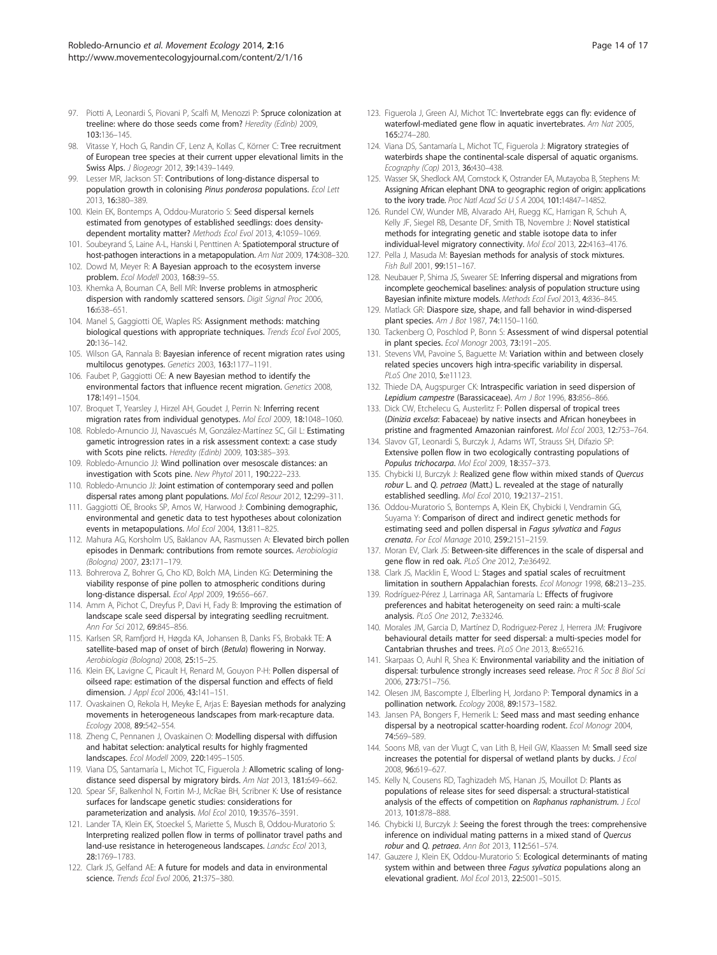- <span id="page-13-0"></span>97. Piotti A, Leonardi S, Piovani P, Scalfi M, Menozzi P: Spruce colonization at treeline: where do those seeds come from? Heredity (Edinb) 2009, 103:136–145.
- 98. Vitasse Y, Hoch G, Randin CF, Lenz A, Kollas C, Körner C: Tree recruitment of European tree species at their current upper elevational limits in the Swiss Alps. J Biogeogr 2012, 39:1439–1449.
- 99. Lesser MR, Jackson ST: Contributions of long-distance dispersal to population growth in colonising Pinus ponderosa populations. Ecol Lett 2013, 16:380–389.
- 100. Klein EK, Bontemps A, Oddou-Muratorio S: Seed dispersal kernels estimated from genotypes of established seedlings: does densitydependent mortality matter? Methods Ecol Evol 2013, 4:1059–1069.
- 101. Soubeyrand S, Laine A-L, Hanski I, Penttinen A: Spatiotemporal structure of host-pathogen interactions in a metapopulation. Am Nat 2009, 174:308–320.
- 102. Dowd M, Meyer R: A Bayesian approach to the ecosystem inverse problem. Ecol Modell 2003, 168:39–55.
- 103. Khemka A, Bouman CA, Bell MR: Inverse problems in atmospheric dispersion with randomly scattered sensors. Digit Signal Proc 2006, 16:638–651.
- 104. Manel S, Gaggiotti OE, Waples RS: Assignment methods: matching biological questions with appropriate techniques. Trends Ecol Evol 2005, 20:136–142.
- 105. Wilson GA, Rannala B: Bayesian inference of recent migration rates using multilocus genotypes. Genetics 2003, 163:1177–1191.
- 106. Faubet P, Gaggiotti OE: A new Bayesian method to identify the environmental factors that influence recent migration. Genetics 2008, 178:1491–1504.
- 107. Broquet T, Yearsley J, Hirzel AH, Goudet J, Perrin N: Inferring recent migration rates from individual genotypes. Mol Ecol 2009, 18:1048–1060.
- 108. Robledo-Arnuncio JJ, Navascués M, González-Martínez SC, Gil L: Estimating gametic introgression rates in a risk assessment context: a case study with Scots pine relicts. Heredity (Edinb) 2009, 103:385–393.
- 109. Robledo-Arnuncio JJ: Wind pollination over mesoscale distances: an investigation with Scots pine. New Phytol 2011, 190:222–233.
- 110. Robledo-Arnuncio JJ: Joint estimation of contemporary seed and pollen dispersal rates among plant populations. Mol Ecol Resour 2012, 12:299–311.
- 111. Gaggiotti OE, Brooks SP, Amos W, Harwood J: Combining demographic, environmental and genetic data to test hypotheses about colonization events in metapopulations. Mol Ecol 2004, 13:811–825.
- 112. Mahura AG, Korsholm US, Baklanov AA, Rasmussen A: Elevated birch pollen episodes in Denmark: contributions from remote sources. Aerobiologia (Bologna) 2007, 23:171–179.
- 113. Bohrerova Z, Bohrer G, Cho KD, Bolch MA, Linden KG: Determining the viability response of pine pollen to atmospheric conditions during long-distance dispersal. Ecol Appl 2009, 19:656–667.
- 114. Amm A, Pichot C, Dreyfus P, Davi H, Fady B: Improving the estimation of landscape scale seed dispersal by integrating seedling recruitment. Ann For Sci 2012, 69:845–856.
- 115. Karlsen SR, Ramfjord H, Høgda KA, Johansen B, Danks FS, Brobakk TE: A satellite-based map of onset of birch (Betula) flowering in Norway. Aerobiologia (Bologna) 2008, 25:15–25.
- 116. Klein EK, Lavigne C, Picault H, Renard M, Gouyon P-H: Pollen dispersal of oilseed rape: estimation of the dispersal function and effects of field dimension. *J Appl Ecol* 2006, 43:141-151.
- 117. Ovaskainen O, Rekola H, Meyke E, Arjas E: Bayesian methods for analyzing movements in heterogeneous landscapes from mark-recapture data. Ecology 2008, 89:542–554.
- 118. Zheng C, Pennanen J, Ovaskainen O: Modelling dispersal with diffusion and habitat selection: analytical results for highly fragmented landscapes. Ecol Modell 2009, 220:1495–1505.
- 119. Viana DS, Santamaría L, Michot TC, Figuerola J: Allometric scaling of longdistance seed dispersal by migratory birds. Am Nat 2013, 181:649–662.
- 120. Spear SF, Balkenhol N, Fortin M-J, McRae BH, Scribner K: Use of resistance surfaces for landscape genetic studies: considerations for parameterization and analysis. Mol Ecol 2010, 19:3576–3591.
- 121. Lander TA, Klein EK, Stoeckel S, Mariette S, Musch B, Oddou-Muratorio S: Interpreting realized pollen flow in terms of pollinator travel paths and land-use resistance in heterogeneous landscapes. Landsc Ecol 2013, 28:1769–1783.
- 122. Clark JS, Gelfand AE: A future for models and data in environmental science. Trends Ecol Evol 2006, 21:375-380.
- 123. Figuerola J, Green AJ, Michot TC: Invertebrate eggs can fly: evidence of waterfowl-mediated gene flow in aquatic invertebrates. Am Nat 2005, 165:274–280.
- 124. Viana DS, Santamaría L, Michot TC, Figuerola J: Migratory strategies of waterbirds shape the continental-scale dispersal of aquatic organisms. Ecography (Cop) 2013, 36:430–438.
- 125. Wasser SK, Shedlock AM, Comstock K, Ostrander EA, Mutayoba B, Stephens M: Assigning African elephant DNA to geographic region of origin: applications to the ivory trade. Proc Natl Acad Sci U S A 2004, 101:14847-14852.
- 126. Rundel CW, Wunder MB, Alvarado AH, Ruegg KC, Harrigan R, Schuh A, Kelly JF, Siegel RB, Desante DF, Smith TB, Novembre J: Novel statistical methods for integrating genetic and stable isotope data to infer individual-level migratory connectivity. Mol Ecol 2013, 22:4163–4176.
- 127. Pella J, Masuda M: Bayesian methods for analysis of stock mixtures. Fish Bull 2001, 99:151–167.
- 128. Neubauer P, Shima JS, Swearer SE: Inferring dispersal and migrations from incomplete geochemical baselines: analysis of population structure using Bayesian infinite mixture models. Methods Ecol Evol 2013, 4:836–845.
- 129. Matlack GR: Diaspore size, shape, and fall behavior in wind-dispersed plant species. Am J Bot 1987, 74:1150–1160.
- 130. Tackenberg O, Poschlod P, Bonn S: Assessment of wind dispersal potential in plant species. Ecol Monogr 2003, 73:191–205.
- 131. Stevens VM, Pavoine S, Baguette M: Variation within and between closely related species uncovers high intra-specific variability in dispersal. PLoS One 2010, 5:e11123.
- 132. Thiede DA, Augspurger CK: Intraspecific variation in seed dispersion of Lepidium campestre (Barassicaceae). Am J Bot 1996, 83:856-866.
- 133. Dick CW, Etchelecu G, Austerlitz F: Pollen dispersal of tropical trees (Dinizia excelsa: Fabaceae) by native insects and African honeybees in pristine and fragmented Amazonian rainforest. Mol Ecol 2003, 12:753–764.
- 134. Slavov GT, Leonardi S, Burczyk J, Adams WT, Strauss SH, Difazio SP: Extensive pollen flow in two ecologically contrasting populations of Populus trichocarpa. Mol Ecol 2009, 18:357–373.
- 135. Chybicki IJ, Burczyk J: Realized gene flow within mixed stands of Quercus robur L. and Q. petraea (Matt.) L. revealed at the stage of naturally established seedling. Mol Ecol 2010, 19:2137–2151.
- 136. Oddou-Muratorio S, Bontemps A, Klein EK, Chybicki I, Vendramin GG, Suyama Y: Comparison of direct and indirect genetic methods for estimating seed and pollen dispersal in Fagus sylvatica and Fagus crenata. For Ecol Manage 2010, 259:2151–2159.
- 137. Moran EV, Clark JS: Between-site differences in the scale of dispersal and gene flow in red oak. PLoS One 2012, 7:e36492.
- 138. Clark JS, Macklin E, Wood L: Stages and spatial scales of recruitment limitation in southern Appalachian forests. Ecol Monogr 1998, 68:213–235.
- 139. Rodríguez-Pérez J, Larrinaga AR, Santamaría L: Effects of frugivore preferences and habitat heterogeneity on seed rain: a multi-scale analysis. PLoS One 2012, 7:e33246.
- 140. Morales JM, Garcia D, Martínez D, Rodriguez-Perez J, Herrera JM: Frugivore behavioural details matter for seed dispersal: a multi-species model for Cantabrian thrushes and trees. PLoS One 2013, 8:e65216.
- 141. Skarpaas O, Auhl R, Shea K: Environmental variability and the initiation of dispersal: turbulence strongly increases seed release. Proc R Soc B Biol Sci 2006, 273:751–756.
- 142. Olesen JM, Bascompte J, Elberling H, Jordano P: Temporal dynamics in a pollination network. Ecology 2008, 89:1573–1582.
- 143. Jansen PA, Bongers F, Hemerik L: Seed mass and mast seeding enhance dispersal by a neotropical scatter-hoarding rodent. Ecol Monogr 2004, 74:569–589.
- 144. Soons MB, van der Vlugt C, van Lith B, Heil GW, Klaassen M: Small seed size increases the potential for dispersal of wetland plants by ducks.  $JEcol$ 2008, 96:619-627
- 145. Kelly N, Cousens RD, Taghizadeh MS, Hanan JS, Mouillot D: Plants as populations of release sites for seed dispersal: a structural-statistical analysis of the effects of competition on Raphanus raphanistrum. J Ecol 2013, 101:878–888.
- 146. Chybicki IJ, Burczyk J: Seeing the forest through the trees: comprehensive inference on individual mating patterns in a mixed stand of Quercus robur and Q. petraea. Ann Bot 2013, 112:561–574.
- 147. Gauzere J, Klein EK, Oddou-Muratorio S: Ecological determinants of mating system within and between three Fagus sylvatica populations along an elevational gradient. Mol Ecol 2013, 22:5001–5015.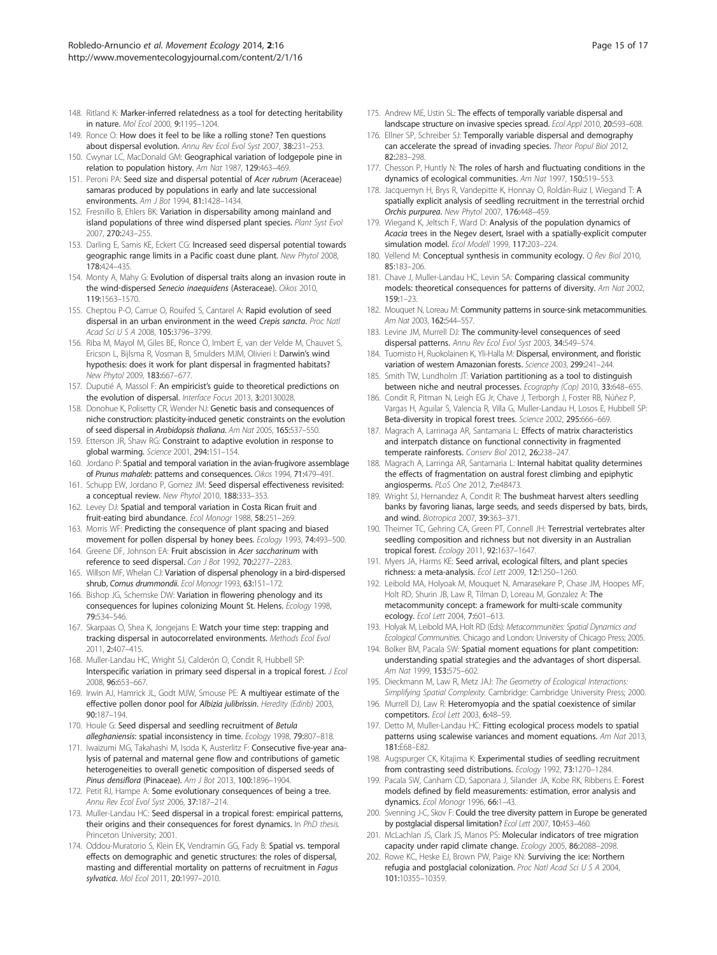- <span id="page-14-0"></span>148. Ritland K: Marker-inferred relatedness as a tool for detecting heritability in nature. Mol Ecol 2000, 9:1195–1204.
- 149. Ronce O: How does it feel to be like a rolling stone? Ten questions about dispersal evolution. Annu Rev Ecol Evol Syst 2007, 38:231–253.
- 150. Cwynar LC, MacDonald GM: Geographical variation of lodgepole pine in relation to population history. Am Nat 1987, 129:463–469.
- 151. Peroni PA: Seed size and dispersal potential of Acer rubrum (Aceraceae) samaras produced by populations in early and late successional environments. Am J Bot 1994, 81:1428–1434.
- 152. Fresnillo B, Ehlers BK: Variation in dispersability among mainland and island populations of three wind dispersed plant species. Plant Syst Evol 2007, 270:243–255.
- 153. Darling E, Samis KE, Eckert CG: Increased seed dispersal potential towards geographic range limits in a Pacific coast dune plant. New Phytol 2008, 178:424–435.
- 154. Monty A, Mahy G: Evolution of dispersal traits along an invasion route in the wind-dispersed Senecio inaequidens (Asteraceae). Oikos 2010, 119:1563–1570.
- 155. Cheptou P-O, Carrue O, Rouifed S, Cantarel A: Rapid evolution of seed dispersal in an urban environment in the weed Crepis sancta. Proc Natl Acad Sci U S A 2008, 105:3796–3799.
- 156. Riba M, Mayol M, Giles BE, Ronce O, Imbert E, van der Velde M, Chauvet S, Ericson L, Bijlsma R, Vosman B, Smulders MJM, Olivieri I: Darwin's wind hypothesis: does it work for plant dispersal in fragmented habitats? New Phytol 2009, 183:667–677.
- 157. Duputié A, Massol F: An empiricist's guide to theoretical predictions on the evolution of dispersal. Interface Focus 2013, 3:20130028.
- 158. Donohue K, Polisetty CR, Wender NJ: Genetic basis and consequences of niche construction: plasticity-induced genetic constraints on the evolution of seed dispersal in Arabidopsis thaliana. Am Nat 2005, 165:537–550.
- 159. Etterson JR, Shaw RG: Constraint to adaptive evolution in response to global warming. Science 2001, 294:151–154.
- 160. Jordano P: Spatial and temporal variation in the avian-frugivore assemblage of Prunus mahaleb: patterns and consequences. Oikos 1994, 71:479–491.
- 161. Schupp EW, Jordano P, Gomez JM: Seed dispersal effectiveness revisited: a conceptual review. New Phytol 2010, 188:333–353.
- 162. Levey DJ: Spatial and temporal variation in Costa Rican fruit and fruit-eating bird abundance. Ecol Monogr 1988, 58:251–269.
- 163. Morris WF: Predicting the consequence of plant spacing and biased movement for pollen dispersal by honey bees. Ecology 1993, 74:493–500.
- 164. Greene DF, Johnson EA: Fruit abscission in Acer saccharinum with reference to seed dispersal. Can J Bot 1992, 70:2277–2283.
- 165. Willson MF, Whelan CJ: Variation of dispersal phenology in a bird-dispersed shrub, Cornus drummondii. Ecol Monogr 1993, 63:151-172.
- 166. Bishop JG, Schemske DW: Variation in flowering phenology and its consequences for lupines colonizing Mount St. Helens. Ecology 1998, 79:534–546.
- 167. Skarpaas O, Shea K, Jongejans E: Watch your time step: trapping and tracking dispersal in autocorrelated environments. Methods Ecol Evol 2011, 2:407–415.
- 168. Muller-Landau HC, Wright SJ, Calderón O, Condit R, Hubbell SP: Interspecific variation in primary seed dispersal in a tropical forest. J Ecol 2008, 96:653–667.
- 169. Irwin AJ, Hamrick JL, Godt MJW, Smouse PE: A multiyear estimate of the effective pollen donor pool for Albizia julibrissin. Heredity (Edinb) 2003, 90:187–194.
- 170. Houle G: Seed dispersal and seedling recruitment of Betula alleghaniensis: spatial inconsistency in time. Ecology 1998, 79:807–818.
- 171. Iwaizumi MG, Takahashi M, Isoda K, Austerlitz F: Consecutive five-year analysis of paternal and maternal gene flow and contributions of gametic heterogeneities to overall genetic composition of dispersed seeds of Pinus densiflora (Pinaceae). Am J Bot 2013, 100:1896-1904.
- 172. Petit RJ, Hampe A: Some evolutionary consequences of being a tree. Annu Rev Ecol Evol Syst 2006, 37:187–214.
- 173. Muller-Landau HC: Seed dispersal in a tropical forest: empirical patterns, their origins and their consequences for forest dynamics. In PhD thesis. Princeton University; 2001.
- 174. Oddou-Muratorio S, Klein EK, Vendramin GG, Fady B: Spatial vs. temporal effects on demographic and genetic structures: the roles of dispersal, masting and differential mortality on patterns of recruitment in Fagus sylvatica. Mol Ecol 2011, 20:1997-2010.
- 175. Andrew ME, Ustin SL: The effects of temporally variable dispersal and landscape structure on invasive species spread. Ecol Appl 2010, 20:593–608.
- 176. Ellner SP, Schreiber SJ: Temporally variable dispersal and demography can accelerate the spread of invading species. Theor Popul Biol 2012, 82:283–298.
- 177. Chesson P, Huntly N: The roles of harsh and fluctuating conditions in the dynamics of ecological communities. Am Nat 1997, 150:519–553.
- 178. Jacquemyn H, Brys R, Vandepitte K, Honnay O, Roldán-Ruiz I, Wiegand T: A spatially explicit analysis of seedling recruitment in the terrestrial orchid Orchis purpurea. New Phytol 2007, 176:448–459.
- 179. Wiegand K, Jeltsch F, Ward D: Analysis of the population dynamics of Acacia trees in the Negev desert, Israel with a spatially-explicit computer simulation model. Ecol Modell 1999, 117:203–224.
- 180. Vellend M: Conceptual synthesis in community ecology. Q Rev Biol 2010, 85:183–206.
- 181. Chave J, Muller-Landau HC, Levin SA: Comparing classical community models: theoretical consequences for patterns of diversity. Am Nat 2002, 159:1–23.
- 182. Mouquet N, Loreau M: Community patterns in source-sink metacommunities. Am Nat 2003, 162:544–557.
- 183. Levine JM, Murrell DJ: The community-level consequences of seed dispersal patterns. Annu Rev Ecol Evol Syst 2003, 34:549–574.
- 184. Tuomisto H, Ruokolainen K, Yli-Halla M: Dispersal, environment, and floristic variation of western Amazonian forests. Science 2003, 299:241–244.
- 185. Smith TW, Lundholm JT: Variation partitioning as a tool to distinguish between niche and neutral processes. Ecography (Cop) 2010, 33:648-655.
- 186. Condit R, Pitman N, Leigh EG Jr, Chave J, Terborgh J, Foster RB, Núñez P, Vargas H, Aguilar S, Valencia R, Villa G, Muller-Landau H, Losos E, Hubbell SP: Beta-diversity in tropical forest trees. Science 2002, 295:666-669
- 187. Magrach A, Larrinaga AR, Santamaria L: Effects of matrix characteristics and interpatch distance on functional connectivity in fragmented temperate rainforests. Conserv Biol 2012, 26:238-247.
- 188. Magrach A, Larringa AR, Santamaria L: Internal habitat quality determines the effects of fragmentation on austral forest climbing and epiphytic angiosperms. PLoS One 2012, 7:e48473.
- 189. Wright SJ, Hernandez A, Condit R: The bushmeat harvest alters seedling banks by favoring lianas, large seeds, and seeds dispersed by bats, birds, and wind. Biotropica 2007, 39:363–371.
- 190. Theimer TC, Gehring CA, Green PT, Connell JH: Terrestrial vertebrates alter seedling composition and richness but not diversity in an Australian tropical forest. Ecology 2011, 92:1637–1647.
- 191. Myers JA, Harms KE: Seed arrival, ecological filters, and plant species richness: a meta-analysis. Ecol Lett 2009, 12:1250–1260.
- 192. Leibold MA, Holyoak M, Mouquet N, Amarasekare P, Chase JM, Hoopes MF, Holt RD, Shurin JB, Law R, Tilman D, Loreau M, Gonzalez A: The metacommunity concept: a framework for multi-scale community ecology. Ecol Lett 2004, 7:601-613.
- 193. Holyak M, Leibold MA, Holt RD (Eds): Metacommunities: Spatial Dynamics and Ecological Communities. Chicago and London: University of Chicago Press; 2005.
- 194. Bolker BM, Pacala SW: Spatial moment equations for plant competition: understanding spatial strategies and the advantages of short dispersal. Am Nat 1999, 153:575–602.
- 195. Dieckmann M, Law R, Metz JAJ: The Geometry of Ecological Interactions: Simplifying Spatial Complexity. Cambridge: Cambridge University Press; 2000.
- 196. Murrell DJ, Law R: Heteromyopia and the spatial coexistence of similar competitors. Ecol Lett 2003, 6:48-59.
- 197. Detto M, Muller-Landau HC: Fitting ecological process models to spatial patterns using scalewise variances and moment equations. Am Nat 2013, 181:E68–E82.
- 198. Augspurger CK, Kitajima K: Experimental studies of seedling recruitment from contrasting seed distributions. Ecology 1992, 73:1270–1284.
- 199. Pacala SW, Canham CD, Saponara J, Silander JA, Kobe RK, Ribbens E: Forest models defined by field measurements: estimation, error analysis and dynamics. Ecol Monogr 1996, 66:1–43.
- 200. Svenning J-C, Skov F: Could the tree diversity pattern in Europe be generated by postglacial dispersal limitation? Ecol Lett 2007, 10:453–460.
- 201. McLachlan JS, Clark JS, Manos PS: Molecular indicators of tree migration capacity under rapid climate change. Ecology 2005, 86:2088–2098.
- 202. Rowe KC, Heske EJ, Brown PW, Paige KN: Surviving the ice: Northern refugia and postglacial colonization. Proc Natl Acad Sci U S A 2004, 101:10355–10359.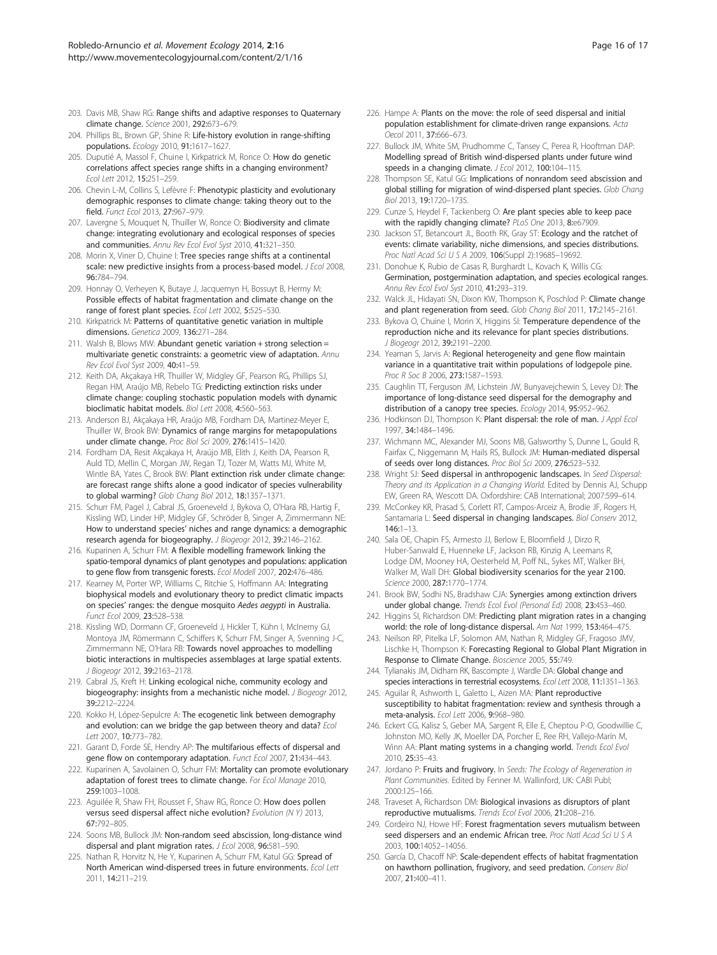- <span id="page-15-0"></span>203. Davis MB, Shaw RG: Range shifts and adaptive responses to Quaternary climate change. Science 2001, 292:673–679.
- 204. Phillips BL, Brown GP, Shine R: Life-history evolution in range-shifting populations. Ecology 2010, 91:1617–1627.
- 205. Duputié A, Massol F, Chuine I, Kirkpatrick M, Ronce O: How do genetic correlations affect species range shifts in a changing environment? Ecol Lett 2012, 15:251–259.
- 206. Chevin L-M, Collins S, Lefèvre F: Phenotypic plasticity and evolutionary demographic responses to climate change: taking theory out to the field. Funct Ecol 2013, 27:967–979.
- 207. Lavergne S, Mouquet N, Thuiller W, Ronce O: Biodiversity and climate change: integrating evolutionary and ecological responses of species and communities. Annu Rev Ecol Evol Syst 2010, 41:321–350.
- 208. Morin X, Viner D, Chuine I: Tree species range shifts at a continental scale: new predictive insights from a process-based model. *J Ecol 2008*, 96:784–794.
- 209. Honnay O, Verheyen K, Butaye J, Jacquemyn H, Bossuyt B, Hermy M: Possible effects of habitat fragmentation and climate change on the range of forest plant species. Ecol Lett 2002, 5:525–530.
- 210. Kirkpatrick M: Patterns of quantitative genetic variation in multiple dimensions. Genetica 2009, 136:271–284.
- 211. Walsh B, Blows MW: Abundant genetic variation + strong selection = multivariate genetic constraints: a geometric view of adaptation. Annu Rev Ecol Evol Syst 2009, 40:41–59.
- 212. Keith DA, Akçakaya HR, Thuiller W, Midgley GF, Pearson RG, Phillips SJ, Regan HM, Araújo MB, Rebelo TG: Predicting extinction risks under climate change: coupling stochastic population models with dynamic bioclimatic habitat models. Biol Lett 2008, 4:560–563.
- 213. Anderson BJ, Akçakaya HR, Araújo MB, Fordham DA, Martinez-Meyer E, Thuiller W, Brook BW: Dynamics of range margins for metapopulations under climate change. Proc Biol Sci 2009, 276:1415–1420.
- 214. Fordham DA, Resit Akçakaya H, Araújo MB, Elith J, Keith DA, Pearson R, Auld TD, Mellin C, Morgan JW, Regan TJ, Tozer M, Watts MJ, White M, Wintle BA, Yates C, Brook BW: Plant extinction risk under climate change: are forecast range shifts alone a good indicator of species vulnerability to global warming? Glob Chang Biol 2012, 18:1357–1371.
- 215. Schurr FM, Pagel J, Cabral JS, Groeneveld J, Bykova O, O'Hara RB, Hartig F, Kissling WD, Linder HP, Midgley GF, Schröder B, Singer A, Zimmermann NE: How to understand species' niches and range dynamics: a demographic research agenda for biogeography. J Biogeogr 2012, 39:2146–2162.
- 216. Kuparinen A, Schurr FM: A flexible modelling framework linking the spatio-temporal dynamics of plant genotypes and populations: application to gene flow from transgenic forests. Ecol Modell 2007, 202:476–486.
- 217. Kearney M, Porter WP, Williams C, Ritchie S, Hoffmann AA: Integrating biophysical models and evolutionary theory to predict climatic impacts on species' ranges: the dengue mosquito Aedes aegypti in Australia. Funct Ecol 2009, 23:528–538.
- 218. Kissling WD, Dormann CF, Groeneveld J, Hickler T, Kühn I, McInerny GJ, Montoya JM, Römermann C, Schiffers K, Schurr FM, Singer A, Svenning J-C, Zimmermann NE, O'Hara RB: Towards novel approaches to modelling biotic interactions in multispecies assemblages at large spatial extents. J Biogeogr 2012, 39:2163–2178.
- 219. Cabral JS, Kreft H: Linking ecological niche, community ecology and biogeography: insights from a mechanistic niche model. J Biogeogr 2012, 39:2212–2224.
- 220. Kokko H, López-Sepulcre A: The ecogenetic link between demography and evolution: can we bridge the gap between theory and data? Ecol Lett 2007, 10:773-782.
- 221. Garant D, Forde SE, Hendry AP: The multifarious effects of dispersal and gene flow on contemporary adaptation. Funct Ecol 2007, 21:434–443.
- 222. Kuparinen A, Savolainen O, Schurr FM: Mortality can promote evolutionary adaptation of forest trees to climate change. For Ecol Manage 2010, 259:1003–1008.
- 223. Aquilée R, Shaw FH, Rousset F, Shaw RG, Ronce O: How does pollen versus seed dispersal affect niche evolution? Evolution (N Y) 2013, 67:792–805.
- 224. Soons MB, Bullock JM: Non-random seed abscission, long-distance wind dispersal and plant migration rates. J Ecol 2008, 96:581-590.
- 225. Nathan R, Horvitz N, He Y, Kuparinen A, Schurr FM, Katul GG: Spread of North American wind-dispersed trees in future environments. Ecol Lett 2011, 14:211–219.
- 226. Hampe A: Plants on the move: the role of seed dispersal and initial population establishment for climate-driven range expansions. Acta Oecol 2011, 37:666-673.
- 227. Bullock JM, White SM, Prudhomme C, Tansey C, Perea R, Hooftman DAP: Modelling spread of British wind-dispersed plants under future wind speeds in a changing climate. J Ecol 2012, 100:104-115.
- 228. Thompson SE, Katul GG: Implications of nonrandom seed abscission and global stilling for migration of wind-dispersed plant species. Glob Chang Biol 2013, 19:1720–1735.
- 229. Cunze S, Heydel F, Tackenberg O: Are plant species able to keep pace with the rapidly changing climate? PLoS One 2013, 8:e67909
- 230. Jackson ST, Betancourt JL, Booth RK, Gray ST: Ecology and the ratchet of events: climate variability, niche dimensions, and species distributions. Proc Natl Acad Sci U S A 2009, 106(Suppl 2):19685–19692.
- 231. Donohue K, Rubio de Casas R, Burghardt L, Kovach K, Willis CG: Germination, postgermination adaptation, and species ecological ranges. Annu Rev Ecol Evol Syst 2010, 41:293–319.
- 232. Walck JL, Hidayati SN, Dixon KW, Thompson K, Poschlod P: Climate change and plant regeneration from seed. Glob Chang Biol 2011, 17:2145-2161.
- 233. Bykova O, Chuine I, Morin X, Higgins SI: Temperature dependence of the reproduction niche and its relevance for plant species distributions. J Biogeogr 2012, 39:2191–2200.
- 234. Yeaman S, Jarvis A: Regional heterogeneity and gene flow maintain variance in a quantitative trait within populations of lodgepole pine. Proc R Soc B 2006, 273:1587–1593.
- 235. Caughlin TT, Ferguson JM, Lichstein JW, Bunyavejchewin S, Levey DJ: The importance of long-distance seed dispersal for the demography and distribution of a canopy tree species. Ecology 2014, 95:952–962.
- 236. Hodkinson DJ, Thompson K: Plant dispersal: the role of man. J Appl Ecol 1997, 34:1484–1496.
- 237. Wichmann MC, Alexander MJ, Soons MB, Galsworthy S, Dunne L, Gould R, Fairfax C, Niggemann M, Hails RS, Bullock JM: Human-mediated dispersal of seeds over long distances. Proc Biol Sci 2009, 276:523–532.
- 238. Wright SJ: Seed dispersal in anthropogenic landscapes. In Seed Dispersal: Theory and its Application in a Changing World. Edited by Dennis AJ, Schupp EW, Green RA, Wescott DA. Oxfordshire: CAB International; 2007:599–614.
- 239. McConkey KR, Prasad S, Corlett RT, Campos-Arceiz A, Brodie JF, Rogers H, Santamaria L: Seed dispersal in changing landscapes. Biol Conserv 2012, 146:1–13.
- 240. Sala OE, Chapin FS, Armesto JJ, Berlow E, Bloomfield J, Dirzo R, Huber-Sanwald E, Huenneke LF, Jackson RB, Kinzig A, Leemans R, Lodge DM, Mooney HA, Oesterheld M, Poff NL, Sykes MT, Walker BH, Walker M, Wall DH: Global biodiversity scenarios for the year 2100. Science 2000, 287:1770–1774.
- 241. Brook BW, Sodhi NS, Bradshaw CJA: Synergies among extinction drivers under global change. Trends Ecol Evol (Personal Ed) 2008, 23:453–460.
- 242. Higgins SI, Richardson DM: Predicting plant migration rates in a changing world: the role of long-distance dispersal. Am Nat 1999, 153:464–475.
- 243. Neilson RP, Pitelka LF, Solomon AM, Nathan R, Midgley GF, Fragoso JMV, Lischke H, Thompson K: Forecasting Regional to Global Plant Migration in Response to Climate Change. Bioscience 2005, 55:749.
- 244. Tylianakis JM, Didham RK, Bascompte J, Wardle DA: Global change and species interactions in terrestrial ecosystems. Ecol Lett 2008, 11:1351–1363.
- 245. Aguilar R, Ashworth L, Galetto L, Aizen MA: Plant reproductive susceptibility to habitat fragmentation: review and synthesis through a meta-analysis. Ecol Lett 2006, 9:968–980.
- 246. Eckert CG, Kalisz S, Geber MA, Sargent R, Elle E, Cheptou P-O, Goodwillie C, Johnston MO, Kelly JK, Moeller DA, Porcher E, Ree RH, Vallejo-Marín M, Winn AA: Plant mating systems in a changing world. Trends Ecol Evol 2010, 25:35–43.
- 247. Jordano P: Fruits and frugivory. In Seeds: The Ecology of Regeneration in Plant Communities. Edited by Fenner M. Wallinford, UK: CABI Publ; 2000:125–166.
- 248. Traveset A, Richardson DM: Biological invasions as disruptors of plant reproductive mutualisms. Trends Ecol Evol 2006, 21:208–216.
- 249. Cordeiro NJ, Howe HF: Forest fragmentation severs mutualism between seed dispersers and an endemic African tree. Proc Natl Acad Sci U S A 2003, 100:14052–14056.
- 250. García D, Chacoff NP: Scale-dependent effects of habitat fragmentation on hawthorn pollination, frugivory, and seed predation. Conserv Biol 2007, 21:400–411.